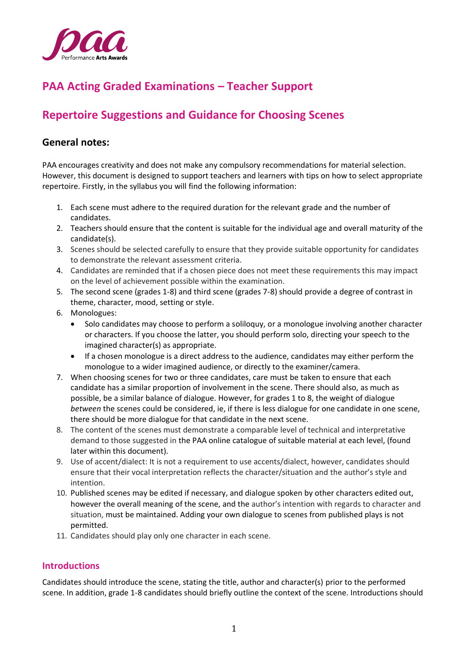

# **PAA Acting Graded Examinations – Teacher Support**

# **Repertoire Suggestions and Guidance for Choosing Scenes**

### **General notes:**

PAA encourages creativity and does not make any compulsory recommendations for material selection. However, this document is designed to support teachers and learners with tips on how to select appropriate repertoire. Firstly, in the syllabus you will find the following information:

- 1. Each scene must adhere to the required duration for the relevant grade and the number of candidates.
- 2. Teachers should ensure that the content is suitable for the individual age and overall maturity of the candidate(s).
- 3. Scenes should be selected carefully to ensure that they provide suitable opportunity for candidates to demonstrate the relevant assessment criteria.
- 4. Candidates are reminded that if a chosen piece does not meet these requirements this may impact on the level of achievement possible within the examination.
- 5. The second scene (grades 1-8) and third scene (grades 7-8) should provide a degree of contrast in theme, character, mood, setting or style.
- 6. Monologues:
	- Solo candidates may choose to perform a soliloquy, or a monologue involving another character or characters. If you choose the latter, you should perform solo, directing your speech to the imagined character(s) as appropriate.
	- If a chosen monologue is a direct address to the audience, candidates may either perform the monologue to a wider imagined audience, or directly to the examiner/camera.
- 7. When choosing scenes for two or three candidates, care must be taken to ensure that each candidate has a similar proportion of involvement in the scene. There should also, as much as possible, be a similar balance of dialogue. However, for grades 1 to 8, the weight of dialogue *between* the scenes could be considered, ie, if there is less dialogue for one candidate in one scene, there should be more dialogue for that candidate in the next scene.
- 8. The content of the scenes must demonstrate a comparable level of technical and interpretative demand to those suggested in the PAA online catalogue of suitable material at each level, (found later within this document).
- 9. Use of accent/dialect: It is not a requirement to use accents/dialect, however, candidates should ensure that their vocal interpretation reflects the character/situation and the author's style and intention.
- 10. Published scenes may be edited if necessary, and dialogue spoken by other characters edited out, however the overall meaning of the scene, and the author's intention with regards to character and situation, must be maintained. Adding your own dialogue to scenes from published plays is not permitted.
- 11. Candidates should play only one character in each scene.

#### **Introductions**

Candidates should introduce the scene, stating the title, author and character(s) prior to the performed scene. In addition, grade 1-8 candidates should briefly outline the context of the scene. Introductions should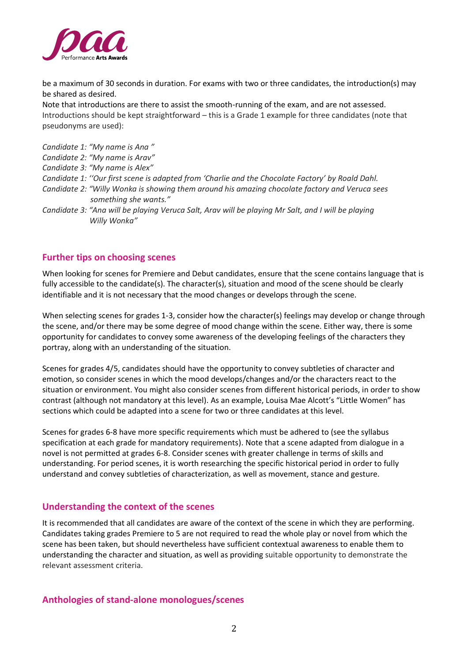

be a maximum of 30 seconds in duration. For exams with two or three candidates, the introduction(s) may be shared as desired.

Note that introductions are there to assist the smooth-running of the exam, and are not assessed. Introductions should be kept straightforward – this is a Grade 1 example for three candidates (note that pseudonyms are used):

- *Candidate 1: "My name is Ana "*
- *Candidate 2: "My name is Arav"*
- *Candidate 3: "My name is Alex"*
- *Candidate 1: ''Our first scene is adapted from 'Charlie and the Chocolate Factory' by Roald Dahl.*
- *Candidate 2: "Willy Wonka is showing them around his amazing chocolate factory and Veruca sees something she wants."*
- *Candidate 3: "Ana will be playing Veruca Salt, Arav will be playing Mr Salt, and I will be playing Willy Wonka"*

### **Further tips on choosing scenes**

When looking for scenes for Premiere and Debut candidates, ensure that the scene contains language that is fully accessible to the candidate(s). The character(s), situation and mood of the scene should be clearly identifiable and it is not necessary that the mood changes or develops through the scene.

When selecting scenes for grades 1-3, consider how the character(s) feelings may develop or change through the scene, and/or there may be some degree of mood change within the scene. Either way, there is some opportunity for candidates to convey some awareness of the developing feelings of the characters they portray, along with an understanding of the situation.

Scenes for grades 4/5, candidates should have the opportunity to convey subtleties of character and emotion, so consider scenes in which the mood develops/changes and/or the characters react to the situation or environment. You might also consider scenes from different historical periods, in order to show contrast (although not mandatory at this level). As an example, Louisa Mae Alcott's "Little Women" has sections which could be adapted into a scene for two or three candidates at this level.

Scenes for grades 6-8 have more specific requirements which must be adhered to (see the syllabus specification at each grade for mandatory requirements). Note that a scene adapted from dialogue in a novel is not permitted at grades 6-8. Consider scenes with greater challenge in terms of skills and understanding. For period scenes, it is worth researching the specific historical period in order to fully understand and convey subtleties of characterization, as well as movement, stance and gesture.

### **Understanding the context of the scenes**

It is recommended that all candidates are aware of the context of the scene in which they are performing. Candidates taking grades Premiere to 5 are not required to read the whole play or novel from which the scene has been taken, but should nevertheless have sufficient contextual awareness to enable them to understanding the character and situation, as well as providing suitable opportunity to demonstrate the relevant assessment criteria.

### **Anthologies of stand-alone monologues/scenes**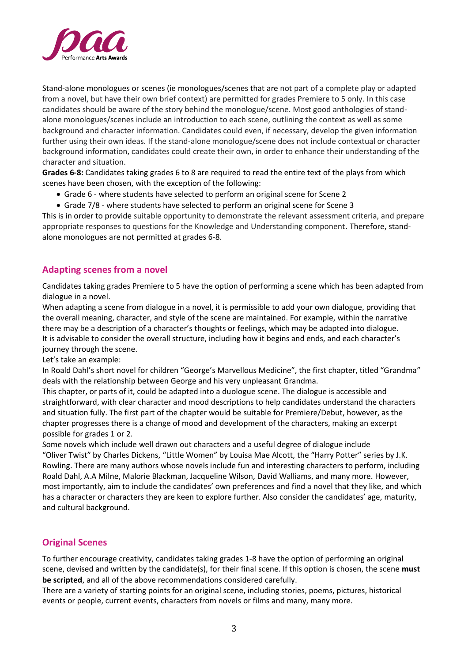

Stand-alone monologues or scenes (ie monologues/scenes that are not part of a complete play or adapted from a novel, but have their own brief context) are permitted for grades Premiere to 5 only. In this case candidates should be aware of the story behind the monologue/scene. Most good anthologies of standalone monologues/scenes include an introduction to each scene, outlining the context as well as some background and character information. Candidates could even, if necessary, develop the given information further using their own ideas. If the stand-alone monologue/scene does not include contextual or character background information, candidates could create their own, in order to enhance their understanding of the character and situation.

**Grades 6-8:** Candidates taking grades 6 to 8 are required to read the entire text of the plays from which scenes have been chosen, with the exception of the following:

- Grade 6 where students have selected to perform an original scene for Scene 2
- Grade 7/8 where students have selected to perform an original scene for Scene 3

This is in order to provide suitable opportunity to demonstrate the relevant assessment criteria, and prepare appropriate responses to questions for the Knowledge and Understanding component. Therefore, standalone monologues are not permitted at grades 6-8.

### **Adapting scenes from a novel**

Candidates taking grades Premiere to 5 have the option of performing a scene which has been adapted from dialogue in a novel.

When adapting a scene from dialogue in a novel, it is permissible to add your own dialogue, providing that the overall meaning, character, and style of the scene are maintained. For example, within the narrative there may be a description of a character's thoughts or feelings, which may be adapted into dialogue. It is advisable to consider the overall structure, including how it begins and ends, and each character's journey through the scene.

Let's take an example:

In Roald Dahl's short novel for children "George's Marvellous Medicine", the first chapter, titled "Grandma" deals with the relationship between George and his very unpleasant Grandma.

This chapter, or parts of it, could be adapted into a duologue scene. The dialogue is accessible and straightforward, with clear character and mood descriptions to help candidates understand the characters and situation fully. The first part of the chapter would be suitable for Premiere/Debut, however, as the chapter progresses there is a change of mood and development of the characters, making an excerpt possible for grades 1 or 2.

Some novels which include well drawn out characters and a useful degree of dialogue include "Oliver Twist" by Charles Dickens, "Little Women" by Louisa Mae Alcott, the "Harry Potter" series by J.K. Rowling. There are many authors whose novels include fun and interesting characters to perform, including Roald Dahl, A.A Milne, Malorie Blackman, Jacqueline Wilson, David Walliams, and many more. However, most importantly, aim to include the candidates' own preferences and find a novel that they like, and which has a character or characters they are keen to explore further. Also consider the candidates' age, maturity, and cultural background.

### **Original Scenes**

To further encourage creativity, candidates taking grades 1-8 have the option of performing an original scene, devised and written by the candidate(s), for their final scene. If this option is chosen, the scene **must be scripted**, and all of the above recommendations considered carefully.

There are a variety of starting points for an original scene, including stories, poems, pictures, historical events or people, current events, characters from novels or films and many, many more.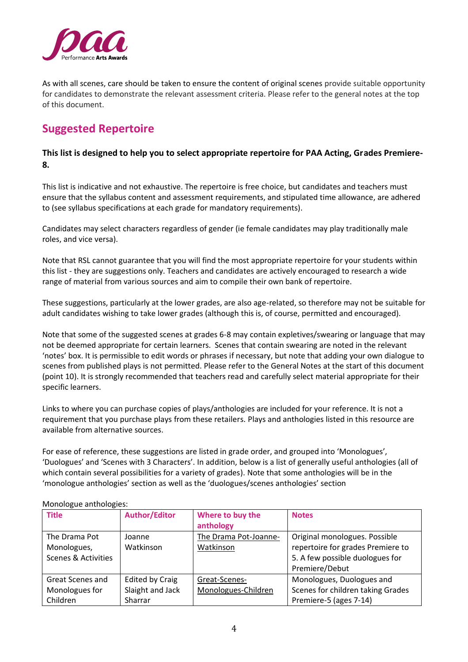

As with all scenes, care should be taken to ensure the content of original scenes provide suitable opportunity for candidates to demonstrate the relevant assessment criteria. Please refer to the general notes at the top of this document.

# **Suggested Repertoire**

#### **This list is designed to help you to select appropriate repertoire for PAA Acting, Grades Premiere-8.**

This list is indicative and not exhaustive. The repertoire is free choice, but candidates and teachers must ensure that the syllabus content and assessment requirements, and stipulated time allowance, are adhered to (see syllabus specifications at each grade for mandatory requirements).

Candidates may select characters regardless of gender (ie female candidates may play traditionally male roles, and vice versa).

Note that RSL cannot guarantee that you will find the most appropriate repertoire for your students within this list - they are suggestions only. Teachers and candidates are actively encouraged to research a wide range of material from various sources and aim to compile their own bank of repertoire.

These suggestions, particularly at the lower grades, are also age-related, so therefore may not be suitable for adult candidates wishing to take lower grades (although this is, of course, permitted and encouraged).

Note that some of the suggested scenes at grades 6-8 may contain expletives/swearing or language that may not be deemed appropriate for certain learners. Scenes that contain swearing are noted in the relevant 'notes' box. It is permissible to edit words or phrases if necessary, but note that adding your own dialogue to scenes from published plays is not permitted. Please refer to the General Notes at the start of this document (point 10). It is strongly recommended that teachers read and carefully select material appropriate for their specific learners.

Links to where you can purchase copies of plays/anthologies are included for your reference. It is not a requirement that you purchase plays from these retailers. Plays and anthologies listed in this resource are available from alternative sources.

For ease of reference, these suggestions are listed in grade order, and grouped into 'Monologues', 'Duologues' and 'Scenes with 3 Characters'. In addition, below is a list of generally useful anthologies (all of which contain several possibilities for a variety of grades). Note that some anthologies will be in the 'monologue anthologies' section as well as the 'duologues/scenes anthologies' section

| <b>Title</b>                   | <b>Author/Editor</b> | Where to buy the<br>anthology | <b>Notes</b>                      |
|--------------------------------|----------------------|-------------------------------|-----------------------------------|
| The Drama Pot                  | Joanne               | The Drama Pot-Joanne-         | Original monologues. Possible     |
| Monologues,                    | Watkinson            | Watkinson                     | repertoire for grades Premiere to |
| <b>Scenes &amp; Activities</b> |                      |                               | 5. A few possible duologues for   |
|                                |                      |                               | Premiere/Debut                    |
| Great Scenes and               | Edited by Craig      | Great-Scenes-                 | Monologues, Duologues and         |
| Monologues for                 | Slaight and Jack     | Monologues-Children           | Scenes for children taking Grades |
| Children                       | Sharrar              |                               | Premiere-5 (ages 7-14)            |

Monologue anthologies: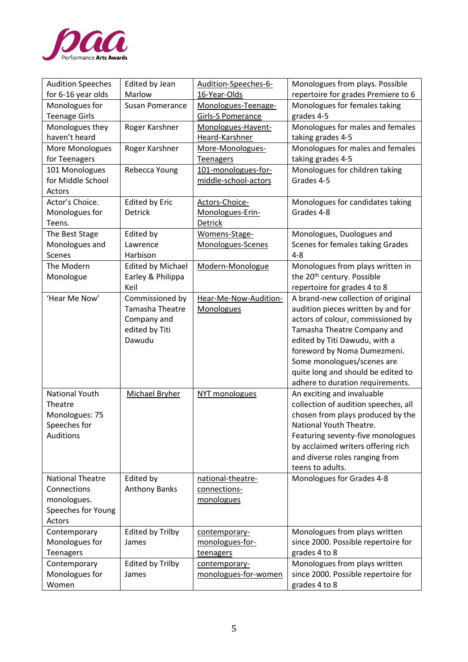

| <b>Audition Speeches</b><br>for 6-16 year olds | Edited by Jean<br>Marlow | Audition-Speeches-6-<br>16-Year-Olds | Monologues from plays. Possible<br>repertoire for grades Premiere to 6  |
|------------------------------------------------|--------------------------|--------------------------------------|-------------------------------------------------------------------------|
| Monologues for                                 | <b>Susan Pomerance</b>   | Monologues-Teenage-                  | Monologues for females taking                                           |
| <b>Teenage Girls</b>                           |                          | <b>Girls-S Pomerance</b>             | grades 4-5                                                              |
| Monologues they                                | Roger Karshner           | Monologues-Havent-                   | Monologues for males and females                                        |
| haven't heard                                  |                          | Heard-Karshner                       | taking grades 4-5                                                       |
| More Monologues                                | Roger Karshner           | More-Monologues-                     | Monologues for males and females                                        |
| for Teenagers                                  |                          | <b>Teenagers</b>                     | taking grades 4-5                                                       |
| 101 Monologues                                 | Rebecca Young            | 101-monologues-for-                  | Monologues for children taking                                          |
| for Middle School                              |                          | middle-school-actors                 | Grades 4-5                                                              |
| Actors                                         |                          |                                      |                                                                         |
| Actor's Choice.                                | <b>Edited by Eric</b>    | Actors-Choice-                       | Monologues for candidates taking                                        |
| Monologues for                                 | Detrick                  | Monologues-Erin-                     | Grades 4-8                                                              |
| Teens.                                         |                          | Detrick                              |                                                                         |
| The Best Stage                                 | Edited by                | Womens-Stage-                        | Monologues, Duologues and<br>Scenes for females taking Grades           |
| Monologues and<br>Scenes                       | Lawrence<br>Harbison     | Monologues-Scenes                    | $4 - 8$                                                                 |
| The Modern                                     | <b>Edited by Michael</b> | Modern-Monologue                     | Monologues from plays written in                                        |
| Monologue                                      | Earley & Philippa        |                                      | the 20 <sup>th</sup> century. Possible                                  |
|                                                | Keil                     |                                      | repertoire for grades 4 to 8                                            |
| 'Hear Me Now'                                  | Commissioned by          | Hear-Me-Now-Audition-                | A brand-new collection of original                                      |
|                                                | Tamasha Theatre          | <b>Monologues</b>                    | audition pieces written by and for                                      |
|                                                | Company and              |                                      | actors of colour, commissioned by                                       |
|                                                | edited by Titi           |                                      | Tamasha Theatre Company and                                             |
|                                                | Dawudu                   |                                      | edited by Titi Dawudu, with a                                           |
|                                                |                          |                                      | foreword by Noma Dumezmeni.                                             |
|                                                |                          |                                      | Some monologues/scenes are                                              |
|                                                |                          |                                      | quite long and should be edited to                                      |
|                                                |                          |                                      | adhere to duration requirements.                                        |
| National Youth                                 | Michael Bryher           | NYT monologues                       | An exciting and invaluable                                              |
| Theatre                                        |                          |                                      | collection of audition speeches, all                                    |
| Monologues: 75                                 |                          |                                      | chosen from plays produced by the                                       |
| Speeches for<br>Auditions                      |                          |                                      | National Youth Theatre.                                                 |
|                                                |                          |                                      | Featuring seventy-five monologues<br>by acclaimed writers offering rich |
|                                                |                          |                                      | and diverse roles ranging from                                          |
|                                                |                          |                                      | teens to adults.                                                        |
| <b>National Theatre</b>                        | Edited by                | national-theatre-                    | Monologues for Grades 4-8                                               |
| Connections                                    | <b>Anthony Banks</b>     | connections-                         |                                                                         |
| monologues.                                    |                          | monologues                           |                                                                         |
| Speeches for Young                             |                          |                                      |                                                                         |
| Actors                                         |                          |                                      |                                                                         |
| Contemporary                                   | <b>Edited by Trilby</b>  | contemporary-                        | Monologues from plays written                                           |
| Monologues for                                 | James                    | monologues-for-                      | since 2000. Possible repertoire for                                     |
| <b>Teenagers</b>                               |                          | teenagers                            | grades 4 to 8                                                           |
| Contemporary                                   | <b>Edited by Trilby</b>  | contemporary-                        | Monologues from plays written                                           |
| Monologues for                                 | James                    | monologues-for-women                 | since 2000. Possible repertoire for                                     |
| Women                                          |                          |                                      | grades 4 to 8                                                           |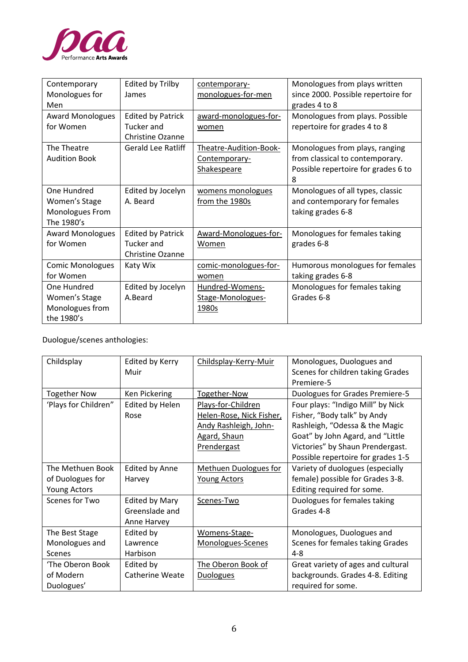

| Contemporary            | <b>Edited by Trilby</b>   | contemporary-          | Monologues from plays written       |
|-------------------------|---------------------------|------------------------|-------------------------------------|
| Monologues for          | James                     | monologues-for-men     | since 2000. Possible repertoire for |
| Men                     |                           |                        | grades 4 to 8                       |
| <b>Award Monologues</b> | <b>Edited by Patrick</b>  | award-monologues-for-  | Monologues from plays. Possible     |
| for Women               | Tucker and                | women                  | repertoire for grades 4 to 8        |
|                         | <b>Christine Ozanne</b>   |                        |                                     |
| The Theatre             | <b>Gerald Lee Ratliff</b> | Theatre-Audition-Book- | Monologues from plays, ranging      |
| <b>Audition Book</b>    |                           | Contemporary-          | from classical to contemporary.     |
|                         |                           | <b>Shakespeare</b>     | Possible repertoire for grades 6 to |
|                         |                           |                        | 8                                   |
| One Hundred             | Edited by Jocelyn         | womens monologues      | Monologues of all types, classic    |
| Women's Stage           | A. Beard                  | from the 1980s         | and contemporary for females        |
| Monologues From         |                           |                        | taking grades 6-8                   |
| The 1980's              |                           |                        |                                     |
| <b>Award Monologues</b> | <b>Edited by Patrick</b>  | Award-Monologues-for-  | Monologues for females taking       |
| for Women               | Tucker and                | Women                  | grades 6-8                          |
|                         | <b>Christine Ozanne</b>   |                        |                                     |
| <b>Comic Monologues</b> | Katy Wix                  | comic-monologues-for-  | Humorous monologues for females     |
| for Women               |                           | women                  | taking grades 6-8                   |
| One Hundred             | Edited by Jocelyn         | Hundred-Womens-        | Monologues for females taking       |
| Women's Stage           | A.Beard                   | Stage-Monologues-      | Grades 6-8                          |
| Monologues from         |                           | 1980s                  |                                     |
| the 1980's              |                           |                        |                                     |

Duologue/scenes anthologies:

| Childsplay           | Edited by Kerry        | Childsplay-Kerry-Muir    | Monologues, Duologues and              |
|----------------------|------------------------|--------------------------|----------------------------------------|
|                      | Muir                   |                          | Scenes for children taking Grades      |
|                      |                        |                          | Premiere-5                             |
| <b>Together Now</b>  | Ken Pickering          | Together-Now             | <b>Duologues for Grades Premiere-5</b> |
| 'Plays for Children" | Edited by Helen        | Plays-for-Children       | Four plays: "Indigo Mill" by Nick      |
|                      | Rose                   | Helen-Rose, Nick Fisher, | Fisher, "Body talk" by Andy            |
|                      |                        | Andy Rashleigh, John-    | Rashleigh, "Odessa & the Magic         |
|                      |                        | <b>Agard, Shaun</b>      | Goat" by John Agard, and "Little       |
|                      |                        | Prendergast              | Victories" by Shaun Prendergast.       |
|                      |                        |                          | Possible repertoire for grades 1-5     |
| The Methuen Book     | <b>Edited by Anne</b>  | Methuen Duologues for    | Variety of duologues (especially       |
| of Duologues for     | Harvey                 | <b>Young Actors</b>      | female) possible for Grades 3-8.       |
| <b>Young Actors</b>  |                        |                          | Editing required for some.             |
| Scenes for Two       | <b>Edited by Mary</b>  | Scenes-Two               | Duologues for females taking           |
|                      | Greenslade and         |                          | Grades 4-8                             |
|                      | Anne Harvey            |                          |                                        |
| The Best Stage       | Edited by              | Womens-Stage-            | Monologues, Duologues and              |
| Monologues and       | Lawrence               | Monologues-Scenes        | Scenes for females taking Grades       |
| Scenes               | Harbison               |                          | $4 - 8$                                |
| 'The Oberon Book     | Edited by              | The Oberon Book of       | Great variety of ages and cultural     |
| of Modern            | <b>Catherine Weate</b> | <b>Duologues</b>         | backgrounds. Grades 4-8. Editing       |
| Duologues'           |                        |                          | required for some.                     |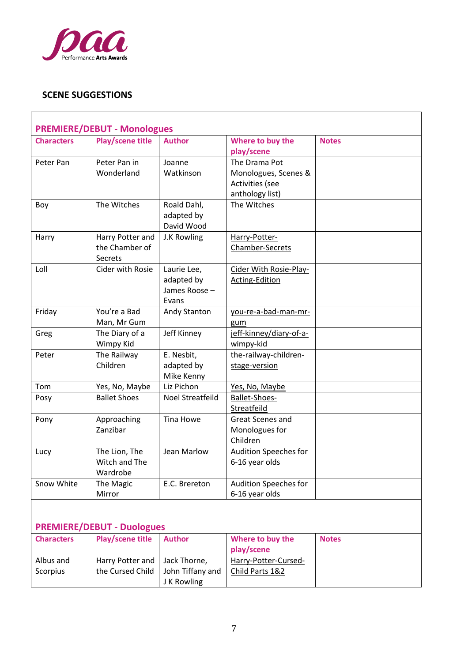

## **SCENE SUGGESTIONS**

| <b>Characters</b> | <b>PREMIERE/DEBUT - Monologues</b><br><b>Play/scene title</b> | <b>Author</b>    | Where to buy the        | <b>Notes</b> |
|-------------------|---------------------------------------------------------------|------------------|-------------------------|--------------|
|                   |                                                               |                  | play/scene              |              |
| Peter Pan         | Peter Pan in                                                  | Joanne           | The Drama Pot           |              |
|                   | Wonderland                                                    | Watkinson        | Monologues, Scenes &    |              |
|                   |                                                               |                  | Activities (see         |              |
|                   |                                                               |                  | anthology list)         |              |
| Boy               | The Witches                                                   | Roald Dahl,      | The Witches             |              |
|                   |                                                               | adapted by       |                         |              |
|                   |                                                               | David Wood       |                         |              |
| Harry             | Harry Potter and                                              | J.K Rowling      | Harry-Potter-           |              |
|                   | the Chamber of                                                |                  | Chamber-Secrets         |              |
|                   | Secrets                                                       |                  |                         |              |
| Loll              | Cider with Rosie                                              | Laurie Lee,      | Cider With Rosie-Play-  |              |
|                   |                                                               | adapted by       | <b>Acting-Edition</b>   |              |
|                   |                                                               | James Roose -    |                         |              |
|                   |                                                               | Evans            |                         |              |
| Friday            | You're a Bad                                                  | Andy Stanton     | you-re-a-bad-man-mr-    |              |
|                   | Man, Mr Gum                                                   |                  | gum                     |              |
| Greg              | The Diary of a                                                | Jeff Kinney      | jeff-kinney/diary-of-a- |              |
|                   | Wimpy Kid                                                     |                  | wimpy-kid               |              |
| Peter             | The Railway                                                   | E. Nesbit,       | the-railway-children-   |              |
|                   | Children                                                      | adapted by       | stage-version           |              |
|                   |                                                               | Mike Kenny       |                         |              |
| Tom               | Yes, No, Maybe                                                | Liz Pichon       | Yes, No, Maybe          |              |
| Posy              | <b>Ballet Shoes</b>                                           | Noel Streatfeild | Ballet-Shoes-           |              |
|                   |                                                               |                  | Streatfeild             |              |
| Pony              | Approaching                                                   | Tina Howe        | Great Scenes and        |              |
|                   | Zanzibar                                                      |                  | Monologues for          |              |
|                   |                                                               |                  | Children                |              |
| Lucy              | The Lion, The                                                 | Jean Marlow      | Audition Speeches for   |              |
|                   | Witch and The                                                 |                  | 6-16 year olds          |              |
|                   | Wardrobe                                                      |                  |                         |              |
| Snow White        | The Magic                                                     | E.C. Brereton    | Audition Speeches for   |              |
|                   | Mirror                                                        |                  | 6-16 year olds          |              |
|                   |                                                               |                  |                         |              |
|                   |                                                               |                  |                         |              |
|                   | <b>PREMIERE/DEBUT - Duologues</b>                             |                  |                         |              |
| <b>Characters</b> | <b>Play/scene title</b>                                       | <b>Author</b>    | Where to buy the        | <b>Notes</b> |
|                   |                                                               |                  | play/scene              |              |

| <b>Characters</b> | Play/scene title Author             |             | where to buy the     | <b>NOTES</b> |
|-------------------|-------------------------------------|-------------|----------------------|--------------|
|                   |                                     |             | play/scene           |              |
| Albus and         | Harry Potter and   Jack Thorne,     |             | Harry-Potter-Cursed- |              |
| Scorpius          | the Cursed Child   John Tiffany and |             | Child Parts 1&2      |              |
|                   |                                     | J K Rowling |                      |              |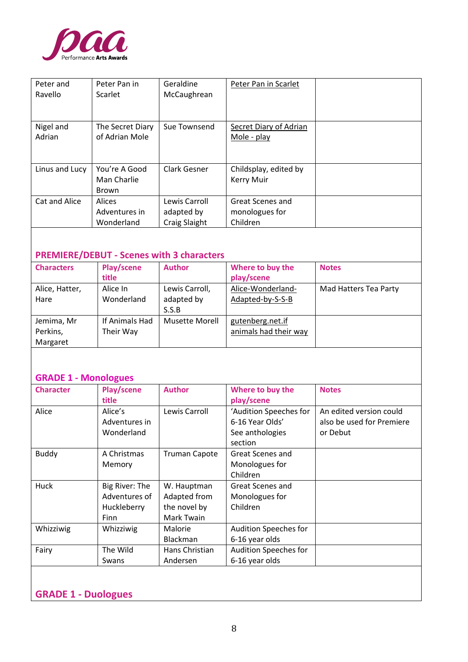

| Peter and<br>Ravello | Peter Pan in<br>Scarlet                      | Geraldine<br>McCaughrean                            | Peter Pan in Scarlet                           |  |
|----------------------|----------------------------------------------|-----------------------------------------------------|------------------------------------------------|--|
| Nigel and<br>Adrian  | The Secret Diary<br>of Adrian Mole           | Sue Townsend                                        | Secret Diary of Adrian<br>Mole - play          |  |
| Linus and Lucy       | You're A Good<br>Man Charlie<br><b>Brown</b> | Clark Gesner                                        | Childsplay, edited by<br>Kerry Muir            |  |
| Cat and Alice        | Alices<br>Adventures in<br>Wonderland        | Lewis Carroll<br>adapted by<br><b>Craig Slaight</b> | Great Scenes and<br>monologues for<br>Children |  |

### **PREMIERE/DEBUT - Scenes with 3 characters**

| <b>Characters</b> | Play/scene<br>title | <b>Author</b>         | Where to buy the<br>play/scene | <b>Notes</b>          |
|-------------------|---------------------|-----------------------|--------------------------------|-----------------------|
| Alice, Hatter,    | Alice In            | Lewis Carroll,        | Alice-Wonderland-              | Mad Hatters Tea Party |
| Hare              | Wonderland          | adapted by            | Adapted-by-S-S-B               |                       |
|                   |                     | S.S.B                 |                                |                       |
| Jemima, Mr        | If Animals Had      | <b>Musette Morell</b> | gutenberg.net.if               |                       |
| Perkins,          | Their Way           |                       | animals had their way          |                       |
| Margaret          |                     |                       |                                |                       |

### **GRADE 1 - Monologues**

| <b>Character</b> | Play/scene     | <b>Author</b>        | Where to buy the       | <b>Notes</b>              |
|------------------|----------------|----------------------|------------------------|---------------------------|
|                  | <b>title</b>   |                      | play/scene             |                           |
| Alice            | Alice's        | Lewis Carroll        | 'Audition Speeches for | An edited version could   |
|                  | Adventures in  |                      | 6-16 Year Olds'        | also be used for Premiere |
|                  | Wonderland     |                      | See anthologies        | or Debut                  |
|                  |                |                      | section                |                           |
| <b>Buddy</b>     | A Christmas    | <b>Truman Capote</b> | Great Scenes and       |                           |
|                  | Memory         |                      | Monologues for         |                           |
|                  |                |                      | Children               |                           |
| Huck             | Big River: The | W. Hauptman          | Great Scenes and       |                           |
|                  | Adventures of  | Adapted from         | Monologues for         |                           |
|                  | Huckleberry    | the novel by         | Children               |                           |
|                  | Finn           | Mark Twain           |                        |                           |
| Whizziwig        | Whizziwig      | Malorie              | Audition Speeches for  |                           |
|                  |                | <b>Blackman</b>      | 6-16 year olds         |                           |
| Fairy            | The Wild       | Hans Christian       | Audition Speeches for  |                           |
|                  | Swans          | Andersen             | 6-16 year olds         |                           |
|                  |                |                      |                        |                           |
|                  |                |                      |                        |                           |

## **GRADE 1 - Duologues**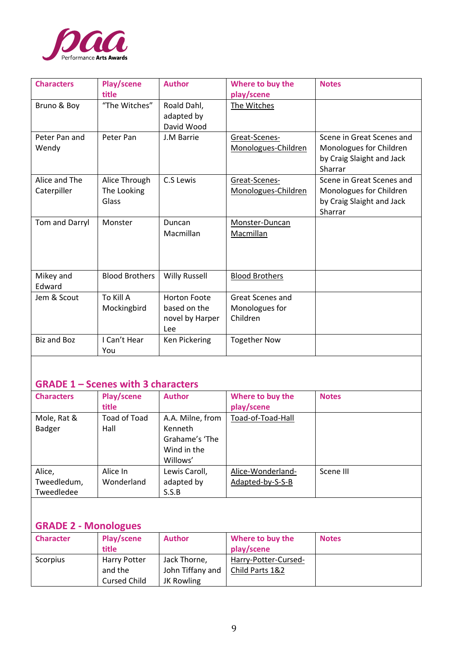

| <b>Characters</b>            | Play/scene<br>title                   | <b>Author</b>                                                 | Where to buy the<br>play/scene                 | <b>Notes</b>                                                                                 |
|------------------------------|---------------------------------------|---------------------------------------------------------------|------------------------------------------------|----------------------------------------------------------------------------------------------|
| Bruno & Boy                  | "The Witches"                         | Roald Dahl,<br>adapted by<br>David Wood                       | The Witches                                    |                                                                                              |
| Peter Pan and<br>Wendy       | Peter Pan                             | J.M Barrie                                                    | Great-Scenes-<br>Monologues-Children           | Scene in Great Scenes and<br>Monologues for Children<br>by Craig Slaight and Jack<br>Sharrar |
| Alice and The<br>Caterpiller | Alice Through<br>The Looking<br>Glass | C.S Lewis                                                     | Great-Scenes-<br>Monologues-Children           | Scene in Great Scenes and<br>Monologues for Children<br>by Craig Slaight and Jack<br>Sharrar |
| Tom and Darryl               | Monster                               | Duncan<br>Macmillan                                           | Monster-Duncan<br>Macmillan                    |                                                                                              |
| Mikey and<br>Edward          | <b>Blood Brothers</b>                 | <b>Willy Russell</b>                                          | <b>Blood Brothers</b>                          |                                                                                              |
| Jem & Scout                  | To Kill A<br>Mockingbird              | <b>Horton Foote</b><br>based on the<br>novel by Harper<br>Lee | Great Scenes and<br>Monologues for<br>Children |                                                                                              |
| <b>Biz and Boz</b>           | I Can't Hear<br>You                   | Ken Pickering                                                 | <b>Together Now</b>                            |                                                                                              |

# **GRADE 1 – Scenes with 3 characters**

| <b>Characters</b> | Play/scene   | <b>Author</b>    | Where to buy the  | <b>Notes</b> |
|-------------------|--------------|------------------|-------------------|--------------|
|                   | title        |                  | play/scene        |              |
| Mole, Rat &       | Toad of Toad | A.A. Milne, from | Toad-of-Toad-Hall |              |
| Badger            | Hall         | Kenneth          |                   |              |
|                   |              | Grahame's 'The   |                   |              |
|                   |              | Wind in the      |                   |              |
|                   |              | Willows'         |                   |              |
| Alice,            | Alice In     | Lewis Caroll,    | Alice-Wonderland- | Scene III    |
| Tweedledum,       | Wonderland   | adapted by       | Adapted-by-S-S-B  |              |
| Tweedledee        |              | S.S.B            |                   |              |

# **GRADE 2 - Monologues**

| <b>Character</b> | Play/scene<br>title                            | <b>Author</b>                                  | Where to buy the<br>play/scene          | <b>Notes</b> |
|------------------|------------------------------------------------|------------------------------------------------|-----------------------------------------|--------------|
| Scorpius         | Harry Potter<br>and the<br><b>Cursed Child</b> | Jack Thorne,<br>John Tiffany and<br>JK Rowling | Harry-Potter-Cursed-<br>Child Parts 1&2 |              |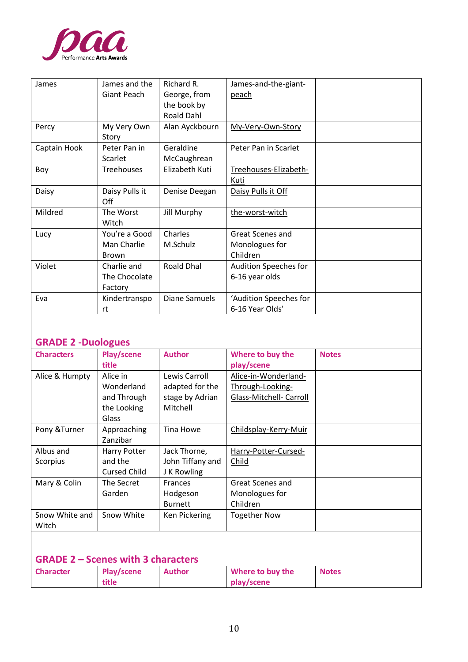

| James        | James and the<br>Giant Peach                 | Richard R.<br>George, from<br>the book by<br><b>Roald Dahl</b> | James-and-the-giant-<br><u>peach</u>           |  |
|--------------|----------------------------------------------|----------------------------------------------------------------|------------------------------------------------|--|
| Percy        | My Very Own<br>Story                         | Alan Ayckbourn                                                 | My-Very-Own-Story                              |  |
| Captain Hook | Peter Pan in<br>Scarlet                      | Geraldine<br>McCaughrean                                       | Peter Pan in Scarlet                           |  |
| Boy          | <b>Treehouses</b>                            | Elizabeth Kuti                                                 | Treehouses-Elizabeth-<br>Kuti                  |  |
| Daisy        | Daisy Pulls it<br>Off                        | Denise Deegan                                                  | Daisy Pulls it Off                             |  |
| Mildred      | The Worst<br>Witch                           | Jill Murphy                                                    | the-worst-witch                                |  |
| Lucy         | You're a Good<br>Man Charlie<br><b>Brown</b> | Charles<br>M.Schulz                                            | Great Scenes and<br>Monologues for<br>Children |  |
| Violet       | Charlie and<br>The Chocolate<br>Factory      | Roald Dhal                                                     | Audition Speeches for<br>6-16 year olds        |  |
| Eva          | Kindertranspo<br>rt                          | Diane Samuels                                                  | 'Audition Speeches for<br>6-16 Year Olds'      |  |

### **GRADE 2 -Duologues**

| <b>Characters</b> | Play/scene          | <b>Author</b>    | Where to buy the        | <b>Notes</b> |
|-------------------|---------------------|------------------|-------------------------|--------------|
|                   | title               |                  | play/scene              |              |
| Alice & Humpty    | Alice in            | Lewis Carroll    | Alice-in-Wonderland-    |              |
|                   | Wonderland          | adapted for the  | Through-Looking-        |              |
|                   | and Through         | stage by Adrian  | Glass-Mitchell- Carroll |              |
|                   | the Looking         | Mitchell         |                         |              |
|                   | Glass               |                  |                         |              |
| Pony & Turner     | Approaching         | Tina Howe        | Childsplay-Kerry-Muir   |              |
|                   | Zanzibar            |                  |                         |              |
| Albus and         | Harry Potter        | Jack Thorne,     | Harry-Potter-Cursed-    |              |
| Scorpius          | and the             | John Tiffany and | Child                   |              |
|                   | <b>Cursed Child</b> | J K Rowling      |                         |              |
| Mary & Colin      | The Secret          | <b>Frances</b>   | Great Scenes and        |              |
|                   | Garden              | Hodgeson         | Monologues for          |              |
|                   |                     | <b>Burnett</b>   | Children                |              |
| Snow White and    | Snow White          | Ken Pickering    | <b>Together Now</b>     |              |
| Witch             |                     |                  |                         |              |
|                   |                     |                  |                         |              |

# **GRADE 2 – Scenes with 3 characters**

| <b>Character</b> | Play/scene | Author | Where to buy the | <b>Notes</b> |
|------------------|------------|--------|------------------|--------------|
|                  | title      |        | play/scene       |              |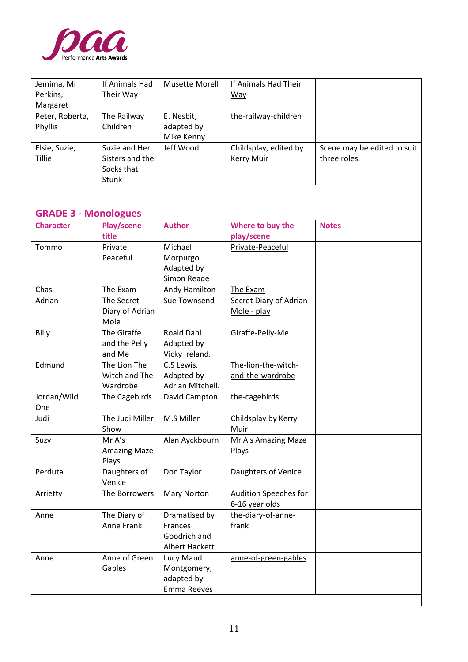

| Jemima, Mr                  | If Animals Had      | Musette Morell            | If Animals Had Their          |                             |
|-----------------------------|---------------------|---------------------------|-------------------------------|-----------------------------|
| Perkins,                    | Their Way           |                           | Way                           |                             |
| Margaret                    |                     |                           |                               |                             |
| Peter, Roberta,             | The Railway         | E. Nesbit,                | the-railway-children          |                             |
| Phyllis                     | Children            | adapted by                |                               |                             |
|                             |                     | Mike Kenny                |                               |                             |
| Elsie, Suzie,               | Suzie and Her       | Jeff Wood                 | Childsplay, edited by         | Scene may be edited to suit |
| <b>Tillie</b>               | Sisters and the     |                           | <b>Kerry Muir</b>             | three roles.                |
|                             | Socks that          |                           |                               |                             |
|                             | Stunk               |                           |                               |                             |
|                             |                     |                           |                               |                             |
|                             |                     |                           |                               |                             |
| <b>GRADE 3 - Monologues</b> |                     |                           |                               |                             |
| <b>Character</b>            | Play/scene          | <b>Author</b>             | Where to buy the              | <b>Notes</b>                |
|                             | title               |                           | play/scene                    |                             |
| Tommo                       | Private             | Michael                   | Private-Peaceful              |                             |
|                             | Peaceful            | Morpurgo                  |                               |                             |
|                             |                     | Adapted by                |                               |                             |
|                             |                     | Simon Reade               |                               |                             |
| Chas                        | The Exam            | Andy Hamilton             | The Exam                      |                             |
| Adrian                      | The Secret          | Sue Townsend              | <b>Secret Diary of Adrian</b> |                             |
|                             | Diary of Adrian     |                           | Mole - play                   |                             |
|                             | Mole                |                           |                               |                             |
| Billy                       | The Giraffe         | Roald Dahl.               | Giraffe-Pelly-Me              |                             |
|                             | and the Pelly       | Adapted by                |                               |                             |
|                             | and Me              | Vicky Ireland.            |                               |                             |
| Edmund                      | The Lion The        | C.S Lewis.                | The-lion-the-witch-           |                             |
|                             | Witch and The       | Adapted by                | and-the-wardrobe              |                             |
|                             | Wardrobe            | Adrian Mitchell.          |                               |                             |
| Jordan/Wild                 | The Cagebirds       | David Campton             | the-cagebirds                 |                             |
| One                         |                     |                           |                               |                             |
| Judi                        | The Judi Miller     | M.S Miller                | Childsplay by Kerry           |                             |
|                             | Show                |                           | Muir                          |                             |
| Suzy                        | Mr A's              | Alan Ayckbourn            | Mr A's Amazing Maze           |                             |
|                             | <b>Amazing Maze</b> |                           | <b>Plays</b>                  |                             |
|                             | Plays               |                           |                               |                             |
| Perduta                     | Daughters of        | Don Taylor                | Daughters of Venice           |                             |
|                             | Venice              |                           |                               |                             |
| Arrietty                    | The Borrowers       | Mary Norton               | Audition Speeches for         |                             |
|                             |                     |                           | 6-16 year olds                |                             |
| Anne                        | The Diary of        | Dramatised by             | the-diary-of-anne-            |                             |
|                             | Anne Frank          | Frances                   | frank                         |                             |
|                             |                     | Goodrich and              |                               |                             |
|                             |                     | Albert Hackett            |                               |                             |
| Anne                        | Anne of Green       | Lucy Maud                 | anne-of-green-gables          |                             |
|                             | Gables              | Montgomery,               |                               |                             |
|                             |                     | adapted by<br>Emma Reeves |                               |                             |
|                             |                     |                           |                               |                             |
|                             |                     |                           |                               |                             |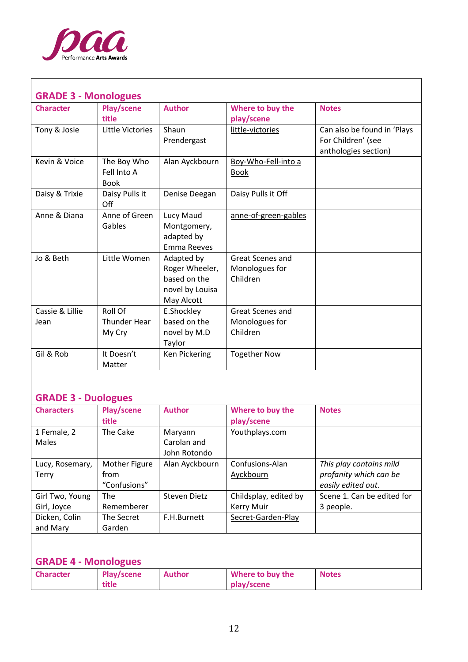

ा

| <b>GRADE 3 - Monologues</b> |                                           |                                                                               |                                                       |                                                                           |  |
|-----------------------------|-------------------------------------------|-------------------------------------------------------------------------------|-------------------------------------------------------|---------------------------------------------------------------------------|--|
| <b>Character</b>            | Play/scene<br>title                       | <b>Author</b>                                                                 | Where to buy the<br>play/scene                        | <b>Notes</b>                                                              |  |
| Tony & Josie                | Little Victories                          | Shaun<br>Prendergast                                                          | little-victories                                      | Can also be found in 'Plays<br>For Children' (see<br>anthologies section) |  |
| Kevin & Voice               | The Boy Who<br>Fell Into A<br><b>Book</b> | Alan Ayckbourn                                                                | Boy-Who-Fell-into a<br><b>Book</b>                    |                                                                           |  |
| Daisy & Trixie              | Daisy Pulls it<br>Off                     | Denise Deegan                                                                 | Daisy Pulls it Off                                    |                                                                           |  |
| Anne & Diana                | Anne of Green<br>Gables                   | Lucy Maud<br>Montgomery,<br>adapted by<br><b>Emma Reeves</b>                  | anne-of-green-gables                                  |                                                                           |  |
| Jo & Beth                   | Little Women                              | Adapted by<br>Roger Wheeler,<br>based on the<br>novel by Louisa<br>May Alcott | Great Scenes and<br>Monologues for<br>Children        |                                                                           |  |
| Cassie & Lillie<br>Jean     | Roll Of<br>Thunder Hear<br>My Cry         | E.Shockley<br>based on the<br>novel by M.D<br>Taylor                          | <b>Great Scenes and</b><br>Monologues for<br>Children |                                                                           |  |
| Gil & Rob                   | It Doesn't<br>Matter                      | Ken Pickering                                                                 | <b>Together Now</b>                                   |                                                                           |  |

٦

## **GRADE 3 - Duologues**

| <b>Characters</b> | Play/scene    | <b>Author</b>  | Where to buy the      | <b>Notes</b>               |
|-------------------|---------------|----------------|-----------------------|----------------------------|
|                   | title         |                | play/scene            |                            |
| 1 Female, 2       | The Cake      | Maryann        | Youthplays.com        |                            |
| <b>Males</b>      |               | Carolan and    |                       |                            |
|                   |               | John Rotondo   |                       |                            |
| Lucy, Rosemary,   | Mother Figure | Alan Ayckbourn | Confusions-Alan       | This play contains mild    |
| Terry             | from          |                | Ayckbourn             | profanity which can be     |
|                   | "Confusions"  |                |                       | easily edited out.         |
| Girl Two, Young   | <b>The</b>    | Steven Dietz   | Childsplay, edited by | Scene 1. Can be edited for |
| Girl, Joyce       | Rememberer    |                | Kerry Muir            | 3 people.                  |
| Dicken, Colin     | The Secret    | F.H.Burnett    | Secret-Garden-Play    |                            |
| and Mary          | Garden        |                |                       |                            |
|                   |               |                |                       |                            |

### **GRADE 4 - Monologues**

| <b>Character</b> | Play/scene | Author | Where to buy the | <b>Notes</b> |
|------------------|------------|--------|------------------|--------------|
|                  | title      |        | play/scene       |              |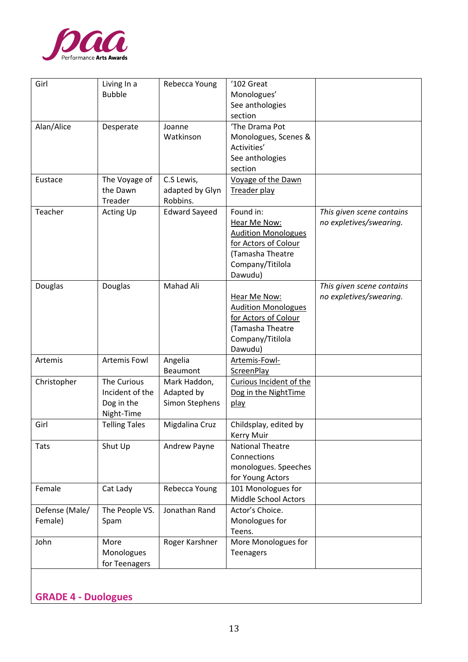

| Girl           | Living In a          | Rebecca Young        | '102 Great                               |                           |
|----------------|----------------------|----------------------|------------------------------------------|---------------------------|
|                | <b>Bubble</b>        |                      | Monologues'                              |                           |
|                |                      |                      | See anthologies                          |                           |
|                |                      |                      | section                                  |                           |
| Alan/Alice     | Desperate            | Joanne               | 'The Drama Pot                           |                           |
|                |                      | Watkinson            | Monologues, Scenes &                     |                           |
|                |                      |                      | Activities'                              |                           |
|                |                      |                      | See anthologies                          |                           |
|                |                      |                      | section                                  |                           |
| Eustace        | The Voyage of        | C.S Lewis,           | Voyage of the Dawn                       |                           |
|                | the Dawn             | adapted by Glyn      | Treader play                             |                           |
|                | Treader              | Robbins.             |                                          |                           |
| Teacher        | Acting Up            | <b>Edward Sayeed</b> | Found in:                                | This given scene contains |
|                |                      |                      | Hear Me Now:                             | no expletives/swearing.   |
|                |                      |                      | <b>Audition Monologues</b>               |                           |
|                |                      |                      | for Actors of Colour                     |                           |
|                |                      |                      | (Tamasha Theatre                         |                           |
|                |                      |                      | Company/Titilola                         |                           |
|                |                      |                      | Dawudu)                                  |                           |
| Douglas        | Douglas              | Mahad Ali            |                                          | This given scene contains |
|                |                      |                      | Hear Me Now:                             | no expletives/swearing.   |
|                |                      |                      | <b>Audition Monologues</b>               |                           |
|                |                      |                      | for Actors of Colour<br>(Tamasha Theatre |                           |
|                |                      |                      |                                          |                           |
|                |                      |                      | Company/Titilola<br>Dawudu)              |                           |
| Artemis        | Artemis Fowl         | Angelia              | Artemis-Fowl-                            |                           |
|                |                      | Beaumont             | <b>ScreenPlay</b>                        |                           |
| Christopher    | The Curious          | Mark Haddon,         | Curious Incident of the                  |                           |
|                | Incident of the      | Adapted by           | Dog in the NightTime                     |                           |
|                | Dog in the           | Simon Stephens       | play                                     |                           |
|                | Night-Time           |                      |                                          |                           |
| Girl           | <b>Telling Tales</b> | Migdalina Cruz       | Childsplay, edited by                    |                           |
|                |                      |                      | <b>Kerry Muir</b>                        |                           |
| Tats           | Shut Up              | Andrew Payne         | <b>National Theatre</b>                  |                           |
|                |                      |                      | Connections                              |                           |
|                |                      |                      | monologues. Speeches                     |                           |
|                |                      |                      | for Young Actors                         |                           |
| Female         | Cat Lady             | Rebecca Young        | 101 Monologues for                       |                           |
|                |                      |                      | Middle School Actors                     |                           |
| Defense (Male/ | The People VS.       | Jonathan Rand        | Actor's Choice.                          |                           |
| Female)        | Spam                 |                      | Monologues for                           |                           |
|                |                      |                      | Teens.                                   |                           |
| John           | More                 | Roger Karshner       | More Monologues for                      |                           |
|                | Monologues           |                      | <b>Teenagers</b>                         |                           |
|                | for Teenagers        |                      |                                          |                           |
|                |                      |                      |                                          |                           |
|                |                      |                      |                                          |                           |

**GRADE 4 - Duologues**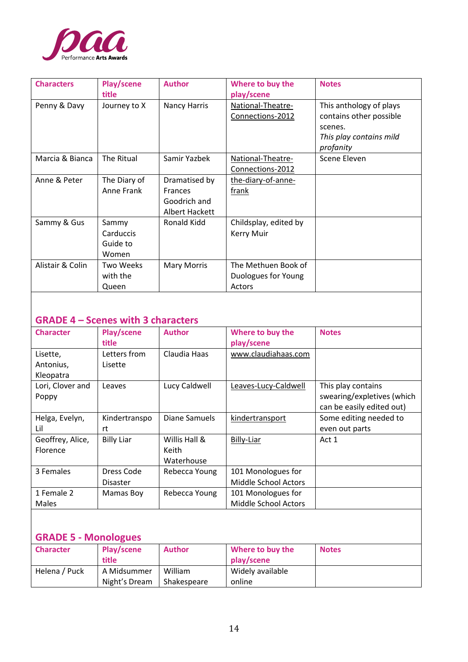

| <b>Characters</b> | Play/scene<br>title                     | <b>Author</b>                                                     | Where to buy the<br>play/scene                       | <b>Notes</b>                                                                                          |
|-------------------|-----------------------------------------|-------------------------------------------------------------------|------------------------------------------------------|-------------------------------------------------------------------------------------------------------|
| Penny & Davy      | Journey to X                            | Nancy Harris                                                      | National-Theatre-<br>Connections-2012                | This anthology of plays<br>contains other possible<br>scenes.<br>This play contains mild<br>profanity |
| Marcia & Bianca   | The Ritual                              | Samir Yazbek                                                      | National-Theatre-<br>Connections-2012                | Scene Eleven                                                                                          |
| Anne & Peter      | The Diary of<br>Anne Frank              | Dramatised by<br><b>Frances</b><br>Goodrich and<br>Albert Hackett | the-diary-of-anne-<br>frank                          |                                                                                                       |
| Sammy & Gus       | Sammy<br>Carduccis<br>Guide to<br>Women | Ronald Kidd                                                       | Childsplay, edited by<br><b>Kerry Muir</b>           |                                                                                                       |
| Alistair & Colin  | Two Weeks<br>with the<br>Queen          | <b>Mary Morris</b>                                                | The Methuen Book of<br>Duologues for Young<br>Actors |                                                                                                       |

## **GRADE 4 – Scenes with 3 characters**

| <b>Character</b>                   | Play/scene<br>title           | <b>Author</b>                        | Where to buy the<br>play/scene                    | <b>Notes</b>                                                                  |
|------------------------------------|-------------------------------|--------------------------------------|---------------------------------------------------|-------------------------------------------------------------------------------|
| Lisette,<br>Antonius,<br>Kleopatra | Letters from<br>Lisette       | Claudia Haas                         | www.claudiahaas.com                               |                                                                               |
| Lori, Clover and<br>Poppy          | Leaves                        | Lucy Caldwell                        | Leaves-Lucy-Caldwell                              | This play contains<br>swearing/expletives (which<br>can be easily edited out) |
| Helga, Evelyn,<br>Lil              | Kindertranspo<br>rt           | Diane Samuels                        | kindertransport                                   | Some editing needed to<br>even out parts                                      |
| Geoffrey, Alice,<br>Florence       | <b>Billy Liar</b>             | Willis Hall &<br>Keith<br>Waterhouse | Billy-Liar                                        | Act 1                                                                         |
| 3 Females                          | Dress Code<br><b>Disaster</b> | Rebecca Young                        | 101 Monologues for<br><b>Middle School Actors</b> |                                                                               |
| 1 Female 2<br><b>Males</b>         | Mamas Boy                     | Rebecca Young                        | 101 Monologues for<br><b>Middle School Actors</b> |                                                                               |

# **GRADE 5 - Monologues**

| <b>Character</b> | Play/scene<br>title          | <b>Author</b>          | Where to buy the<br>play/scene | <b>Notes</b> |
|------------------|------------------------------|------------------------|--------------------------------|--------------|
| Helena / Puck    | A Midsummer<br>Night's Dream | William<br>Shakespeare | Widely available<br>online     |              |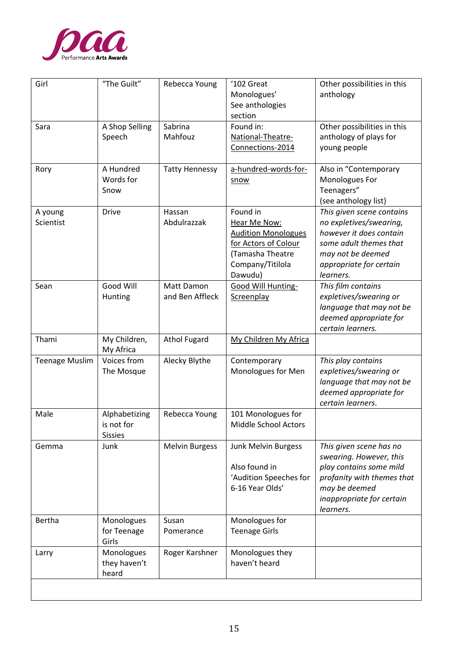

| Girl                  | "The Guilt"                                   | Rebecca Young                 | '102 Great<br>Monologues'<br>See anthologies<br>section                                                                           | Other possibilities in this<br>anthology                                                                                                                               |
|-----------------------|-----------------------------------------------|-------------------------------|-----------------------------------------------------------------------------------------------------------------------------------|------------------------------------------------------------------------------------------------------------------------------------------------------------------------|
| Sara                  | A Shop Selling<br>Speech                      | Sabrina<br>Mahfouz            | Found in:<br>National-Theatre-<br>Connections-2014                                                                                | Other possibilities in this<br>anthology of plays for<br>young people                                                                                                  |
| Rory                  | A Hundred<br>Words for<br>Snow                | <b>Tatty Hennessy</b>         | a-hundred-words-for-<br>snow                                                                                                      | Also in "Contemporary<br>Monologues For<br>Teenagers"<br>(see anthology list)                                                                                          |
| A young<br>Scientist  | <b>Drive</b>                                  | Hassan<br>Abdulrazzak         | Found in<br>Hear Me Now:<br><b>Audition Monologues</b><br>for Actors of Colour<br>(Tamasha Theatre<br>Company/Titilola<br>Dawudu) | This given scene contains<br>no expletives/swearing,<br>however it does contain<br>some adult themes that<br>may not be deemed<br>appropriate for certain<br>learners. |
| Sean                  | Good Will<br>Hunting                          | Matt Damon<br>and Ben Affleck | <b>Good Will Hunting-</b><br>Screenplay                                                                                           | This film contains<br>expletives/swearing or<br>language that may not be<br>deemed appropriate for<br>certain learners.                                                |
| Thami                 | My Children,<br>My Africa                     | <b>Athol Fugard</b>           | My Children My Africa                                                                                                             |                                                                                                                                                                        |
| <b>Teenage Muslim</b> | Voices from<br>The Mosque                     | Alecky Blythe                 | Contemporary<br>Monologues for Men                                                                                                | This play contains<br>expletives/swearing or<br>language that may not be<br>deemed appropriate for<br>certain learners.                                                |
| Male                  | Alphabetizing<br>is not for<br><b>Sissies</b> | Rebecca Young                 | 101 Monologues for<br>Middle School Actors                                                                                        |                                                                                                                                                                        |
| Gemma                 | Junk                                          | <b>Melvin Burgess</b>         | Junk Melvin Burgess<br>Also found in<br>'Audition Speeches for<br>6-16 Year Olds'                                                 | This given scene has no<br>swearing. However, this<br>play contains some mild<br>profanity with themes that<br>may be deemed<br>inappropriate for certain<br>learners. |
| Bertha                | Monologues<br>for Teenage<br>Girls            | Susan<br>Pomerance            | Monologues for<br><b>Teenage Girls</b>                                                                                            |                                                                                                                                                                        |
| Larry                 | Monologues<br>they haven't<br>heard           | Roger Karshner                | Monologues they<br>haven't heard                                                                                                  |                                                                                                                                                                        |
|                       |                                               |                               |                                                                                                                                   |                                                                                                                                                                        |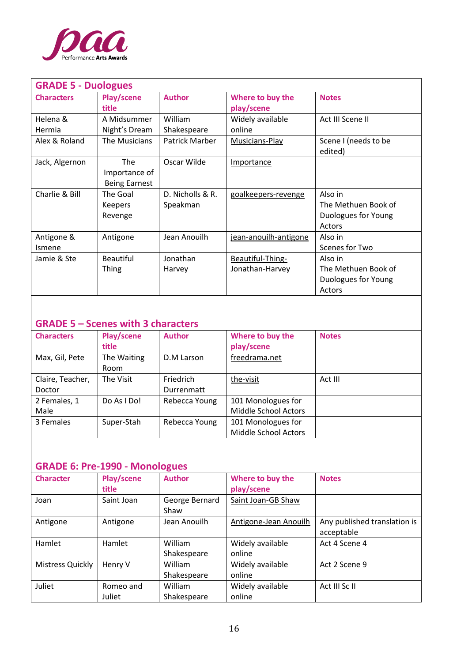

| <b>GRADE 5 - Duologues</b> |                      |                  |                       |                      |
|----------------------------|----------------------|------------------|-----------------------|----------------------|
| <b>Characters</b>          | <b>Play/scene</b>    | <b>Author</b>    | Where to buy the      | <b>Notes</b>         |
|                            | title                |                  | play/scene            |                      |
| Helena &                   | A Midsummer          | William          | Widely available      | Act III Scene II     |
| Hermia                     | Night's Dream        | Shakespeare      | online                |                      |
| Alex & Roland              | The Musicians        | Patrick Marber   | Musicians-Play        | Scene I (needs to be |
|                            |                      |                  |                       | edited)              |
| Jack, Algernon             | <b>The</b>           | Oscar Wilde      | Importance            |                      |
|                            | Importance of        |                  |                       |                      |
|                            | <b>Being Earnest</b> |                  |                       |                      |
| Charlie & Bill             | The Goal             | D. Nicholls & R. | goalkeepers-revenge   | Also in              |
|                            | <b>Keepers</b>       | Speakman         |                       | The Methuen Book of  |
|                            | Revenge              |                  |                       | Duologues for Young  |
|                            |                      |                  |                       | Actors               |
| Antigone &                 | Antigone             | Jean Anouilh     | jean-anouilh-antigone | Also in              |
| Ismene                     |                      |                  |                       | Scenes for Two       |
| Jamie & Ste                | <b>Beautiful</b>     | Jonathan         | Beautiful-Thing-      | Also in              |
|                            | <b>Thing</b>         | Harvey           | Jonathan-Harvey       | The Methuen Book of  |
|                            |                      |                  |                       | Duologues for Young  |
|                            |                      |                  |                       | Actors               |

## **GRADE 5 – Scenes with 3 characters**

| <b>Characters</b>          | Play/scene<br>title | <b>Author</b>                  | Where to buy the<br>play/scene             | <b>Notes</b> |
|----------------------------|---------------------|--------------------------------|--------------------------------------------|--------------|
| Max, Gil, Pete             | The Waiting<br>Room | D.M Larson                     | freedrama.net                              |              |
| Claire, Teacher,<br>Doctor | The Visit           | <b>Friedrich</b><br>Durrenmatt | the-visit                                  | Act III      |
| 2 Females, 1<br>Male       | Do As I Do!         | Rebecca Young                  | 101 Monologues for<br>Middle School Actors |              |
| 3 Females                  | Super-Stah          | Rebecca Young                  | 101 Monologues for<br>Middle School Actors |              |

## **GRADE 6: Pre-1990 - Monologues**

| <b>Character</b> | Play/scene<br>title | <b>Author</b>          | Where to buy the<br>play/scene | <b>Notes</b>                               |
|------------------|---------------------|------------------------|--------------------------------|--------------------------------------------|
| Joan             | Saint Joan          | George Bernard<br>Shaw | Saint Joan-GB Shaw             |                                            |
| Antigone         | Antigone            | Jean Anouilh           | Antigone-Jean Anouilh          | Any published translation is<br>acceptable |
| Hamlet           | Hamlet              | William<br>Shakespeare | Widely available<br>online     | Act 4 Scene 4                              |
| Mistress Quickly | Henry V             | William<br>Shakespeare | Widely available<br>online     | Act 2 Scene 9                              |
| Juliet           | Romeo and<br>Juliet | William<br>Shakespeare | Widely available<br>online     | Act III Sc II                              |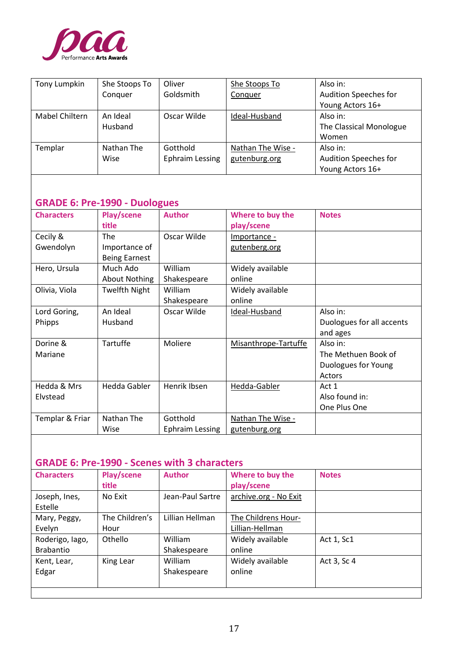

| Tony Lumpkin   | She Stoops To | Oliver                 | She Stoops To     | Also in:                     |
|----------------|---------------|------------------------|-------------------|------------------------------|
|                | Conquer       | Goldsmith              | Conquer           | <b>Audition Speeches for</b> |
|                |               |                        |                   | Young Actors 16+             |
| Mabel Chiltern | An Ideal      | Oscar Wilde            | Ideal-Husband     | Also in:                     |
|                | Husband       |                        |                   | The Classical Monologue      |
|                |               |                        |                   | Women                        |
| Templar        | Nathan The    | Gotthold               | Nathan The Wise - | Also in:                     |
|                | Wise          | <b>Ephraim Lessing</b> | gutenburg.org     | <b>Audition Speeches for</b> |
|                |               |                        |                   | Young Actors 16+             |

## **GRADE 6: Pre-1990 - Duologues**

| <b>Characters</b> | Play/scene<br>title  | <b>Author</b>          | Where to buy the<br>play/scene | <b>Notes</b>              |
|-------------------|----------------------|------------------------|--------------------------------|---------------------------|
| Cecily &          | The                  | Oscar Wilde            | Importance -                   |                           |
| Gwendolyn         | Importance of        |                        | gutenberg.org                  |                           |
|                   | <b>Being Earnest</b> |                        |                                |                           |
| Hero, Ursula      | Much Ado             | William                | Widely available               |                           |
|                   | <b>About Nothing</b> | Shakespeare            | online                         |                           |
| Olivia, Viola     | <b>Twelfth Night</b> | <b>William</b>         | Widely available               |                           |
|                   |                      | Shakespeare            | online                         |                           |
| Lord Goring,      | An Ideal             | Oscar Wilde            | Ideal-Husband                  | Also in:                  |
| Phipps            | Husband              |                        |                                | Duologues for all accents |
|                   |                      |                        |                                | and ages                  |
| Dorine &          | Tartuffe             | Moliere                | Misanthrope-Tartuffe           | Also in:                  |
| Mariane           |                      |                        |                                | The Methuen Book of       |
|                   |                      |                        |                                | Duologues for Young       |
|                   |                      |                        |                                | Actors                    |
| Hedda & Mrs       | <b>Hedda Gabler</b>  | Henrik Ibsen           | Hedda-Gabler                   | Act 1                     |
| Elvstead          |                      |                        |                                | Also found in:            |
|                   |                      |                        |                                | One Plus One              |
| Templar & Friar   | Nathan The           | Gotthold               | Nathan The Wise -              |                           |
|                   | Wise                 | <b>Ephraim Lessing</b> | gutenburg.org                  |                           |

### **GRADE 6: Pre-1990 - Scenes with 3 characters**

| <b>Characters</b>            | Play/scene<br>title    | <b>Author</b>                 | Where to buy the<br>play/scene         | <b>Notes</b> |
|------------------------------|------------------------|-------------------------------|----------------------------------------|--------------|
| Joseph, Ines,<br>Estelle     | No Exit                | Jean-Paul Sartre              | archive.org - No Exit                  |              |
| Mary, Peggy,<br>Evelyn       | The Children's<br>Hour | Lillian Hellman               | The Childrens Hour-<br>Lillian-Hellman |              |
| Roderigo, Iago,<br>Brabantio | Othello                | <b>William</b><br>Shakespeare | Widely available<br>online             | Act 1, Sc1   |
| Kent, Lear,<br>Edgar         | King Lear              | William<br>Shakespeare        | Widely available<br>online             | Act 3, Sc 4  |
|                              |                        |                               |                                        |              |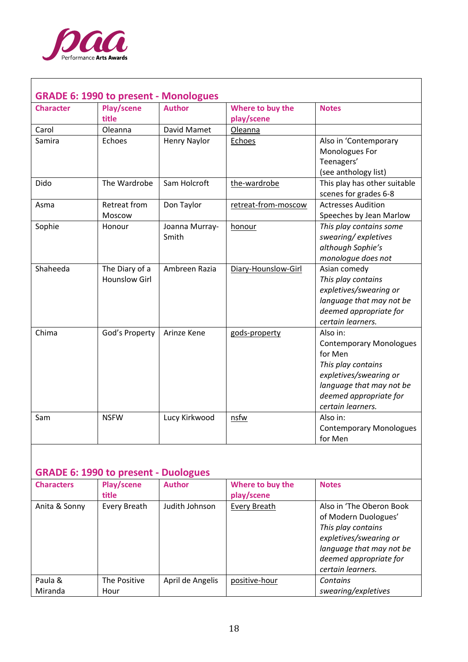

ा

| <b>Character</b> | <b>GRADE 6: 1990 to present - Monologues</b><br>Play/scene | <b>Author</b>       | Where to buy the    | <b>Notes</b>                                       |
|------------------|------------------------------------------------------------|---------------------|---------------------|----------------------------------------------------|
|                  | title                                                      |                     | play/scene          |                                                    |
| Carol            | Oleanna                                                    | David Mamet         | Oleanna             |                                                    |
| Samira           | Echoes                                                     | <b>Henry Naylor</b> | Echoes              | Also in 'Contemporary                              |
|                  |                                                            |                     |                     | Monologues For                                     |
|                  |                                                            |                     |                     | Teenagers'                                         |
|                  |                                                            |                     |                     | (see anthology list)                               |
| Dido             | The Wardrobe                                               | Sam Holcroft        | the-wardrobe        | This play has other suitable                       |
|                  |                                                            |                     |                     | scenes for grades 6-8<br><b>Actresses Audition</b> |
| Asma             | Retreat from<br>Moscow                                     | Don Taylor          | retreat-from-moscow | Speeches by Jean Marlow                            |
| Sophie           | Honour                                                     | Joanna Murray-      | honour              | This play contains some                            |
|                  |                                                            | Smith               |                     | swearing/expletives                                |
|                  |                                                            |                     |                     | although Sophie's                                  |
|                  |                                                            |                     |                     | monologue does not                                 |
| Shaheeda         | The Diary of a                                             | Ambreen Razia       | Diary-Hounslow-Girl | Asian comedy                                       |
|                  | <b>Hounslow Girl</b>                                       |                     |                     | This play contains                                 |
|                  |                                                            |                     |                     | expletives/swearing or                             |
|                  |                                                            |                     |                     | language that may not be                           |
|                  |                                                            |                     |                     | deemed appropriate for                             |
|                  |                                                            |                     |                     | certain learners.                                  |
| Chima            | God's Property                                             | Arinze Kene         | gods-property       | Also in:                                           |
|                  |                                                            |                     |                     | <b>Contemporary Monologues</b><br>for Men          |
|                  |                                                            |                     |                     | This play contains                                 |
|                  |                                                            |                     |                     | expletives/swearing or                             |
|                  |                                                            |                     |                     | language that may not be                           |
|                  |                                                            |                     |                     | deemed appropriate for                             |
|                  |                                                            |                     |                     | certain learners.                                  |
| Sam              | <b>NSFW</b>                                                | Lucy Kirkwood       | nsfw                | Also in:                                           |
|                  |                                                            |                     |                     | <b>Contemporary Monologues</b>                     |
|                  |                                                            |                     |                     | for Men                                            |

٦

### **GRADE 6: 1990 to present - Duologues**

| <b>Characters</b>  | Play/scene<br>title  | <b>Author</b>    | Where to buy the<br>play/scene | <b>Notes</b>                                                                                                                                                                |
|--------------------|----------------------|------------------|--------------------------------|-----------------------------------------------------------------------------------------------------------------------------------------------------------------------------|
| Anita & Sonny      | Every Breath         | Judith Johnson   | Every Breath                   | Also in 'The Oberon Book<br>of Modern Duologues'<br>This play contains<br>expletives/swearing or<br>language that may not be<br>deemed appropriate for<br>certain learners. |
| Paula &<br>Miranda | The Positive<br>Hour | April de Angelis | positive-hour                  | Contains<br>swearing/expletives                                                                                                                                             |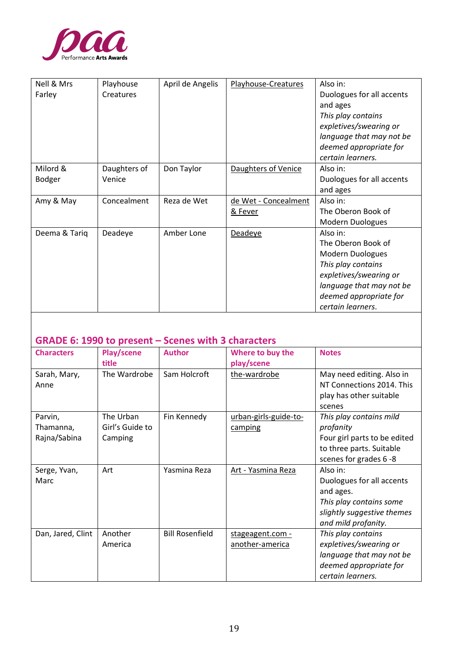

| Nell & Mrs    | Playhouse    | April de Angelis | Playhouse-Creatures  | Also in:                  |
|---------------|--------------|------------------|----------------------|---------------------------|
| Farley        | Creatures    |                  |                      | Duologues for all accents |
|               |              |                  |                      | and ages                  |
|               |              |                  |                      | This play contains        |
|               |              |                  |                      | expletives/swearing or    |
|               |              |                  |                      | language that may not be  |
|               |              |                  |                      | deemed appropriate for    |
|               |              |                  |                      | certain learners.         |
| Milord &      | Daughters of | Don Taylor       | Daughters of Venice  | Also in:                  |
| <b>Bodger</b> | Venice       |                  |                      | Duologues for all accents |
|               |              |                  |                      | and ages                  |
| Amy & May     | Concealment  | Reza de Wet      | de Wet - Concealment | Also in:                  |
|               |              |                  | & Fever              | The Oberon Book of        |
|               |              |                  |                      | Modern Duologues          |
| Deema & Tariq | Deadeye      | Amber Lone       | Deadeye              | Also in:                  |
|               |              |                  |                      | The Oberon Book of        |
|               |              |                  |                      | Modern Duologues          |
|               |              |                  |                      | This play contains        |
|               |              |                  |                      | expletives/swearing or    |
|               |              |                  |                      | language that may not be  |
|               |              |                  |                      | deemed appropriate for    |
|               |              |                  |                      | certain learners.         |

# **GRADE 6: 1990 to present – Scenes with 3 characters**

| <b>Characters</b> | <b>Play/scene</b> | <b>Author</b>          | Where to buy the      | <b>Notes</b>                 |
|-------------------|-------------------|------------------------|-----------------------|------------------------------|
|                   | title             |                        | play/scene            |                              |
| Sarah, Mary,      | The Wardrobe      | Sam Holcroft           | the-wardrobe          | May need editing. Also in    |
| Anne              |                   |                        |                       | NT Connections 2014. This    |
|                   |                   |                        |                       | play has other suitable      |
|                   |                   |                        |                       | scenes                       |
| Parvin,           | The Urban         | Fin Kennedy            | urban-girls-guide-to- | This play contains mild      |
| Thamanna,         | Girl's Guide to   |                        | camping               | profanity                    |
| Rajna/Sabina      | Camping           |                        |                       | Four girl parts to be edited |
|                   |                   |                        |                       | to three parts. Suitable     |
|                   |                   |                        |                       | scenes for grades 6 -8       |
| Serge, Yvan,      | Art               | Yasmina Reza           | Art - Yasmina Reza    | Also in:                     |
| Marc              |                   |                        |                       | Duologues for all accents    |
|                   |                   |                        |                       | and ages.                    |
|                   |                   |                        |                       | This play contains some      |
|                   |                   |                        |                       | slightly suggestive themes   |
|                   |                   |                        |                       | and mild profanity.          |
| Dan, Jared, Clint | Another           | <b>Bill Rosenfield</b> | stageagent.com -      | This play contains           |
|                   | America           |                        | another-america       | expletives/swearing or       |
|                   |                   |                        |                       | language that may not be     |
|                   |                   |                        |                       | deemed appropriate for       |
|                   |                   |                        |                       | certain learners.            |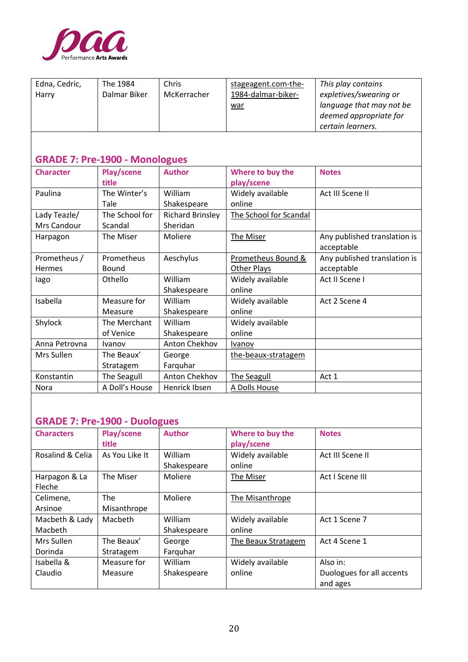

| Edna, Cedric,<br>Harry | The 1984<br>Dalmar Biker              | Chris<br>McKerracher    | stageagent.com-the-<br>1984-dalmar-biker-<br>war | This play contains<br>expletives/swearing or<br>language that may not be<br>deemed appropriate for<br>certain learners. |
|------------------------|---------------------------------------|-------------------------|--------------------------------------------------|-------------------------------------------------------------------------------------------------------------------------|
|                        | <b>GRADE 7: Pre-1900 - Monologues</b> |                         |                                                  |                                                                                                                         |
| <b>Character</b>       | Play/scene                            | <b>Author</b>           | Where to buy the                                 | <b>Notes</b>                                                                                                            |
|                        | title                                 |                         | play/scene                                       |                                                                                                                         |
| Paulina                | The Winter's                          | William                 | Widely available                                 | Act III Scene II                                                                                                        |
|                        | Tale                                  | Shakespeare             | online                                           |                                                                                                                         |
| Lady Teazle/           | The School for                        | <b>Richard Brinsley</b> | The School for Scandal                           |                                                                                                                         |
| Mrs Candour            | Scandal                               | Sheridan                |                                                  |                                                                                                                         |
| Harpagon               | The Miser                             | Moliere                 | The Miser                                        | Any published translation is<br>acceptable                                                                              |
| Prometheus /           | Prometheus                            | Aeschylus               | Prometheus Bound &                               | Any published translation is                                                                                            |
| Hermes                 | Bound                                 |                         | <b>Other Plays</b>                               | acceptable                                                                                                              |
| lago                   | Othello                               | William                 | Widely available                                 | Act II Scene I                                                                                                          |
|                        |                                       | Shakespeare             | online                                           |                                                                                                                         |
| Isabella               | Measure for                           | William                 | Widely available                                 | Act 2 Scene 4                                                                                                           |
|                        | Measure                               | Shakespeare             | online                                           |                                                                                                                         |
| Shylock                | The Merchant                          | William                 | Widely available                                 |                                                                                                                         |
|                        | of Venice                             | Shakespeare             | online                                           |                                                                                                                         |
| Anna Petrovna          | Ivanov                                | Anton Chekhov           | Ivanov                                           |                                                                                                                         |
| Mrs Sullen             | The Beaux'                            | George                  | the-beaux-stratagem                              |                                                                                                                         |
|                        | Stratagem                             | Farquhar                |                                                  |                                                                                                                         |
| Konstantin             | The Seagull                           | <b>Anton Chekhov</b>    | The Seagull                                      | Act 1                                                                                                                   |
| Nora                   | A Doll's House                        | Henrick Ibsen           | A Dolls House                                    |                                                                                                                         |

## **GRADE 7: Pre-1900 - Duologues**

| <b>Characters</b> | Play/scene<br>title | <b>Author</b> | Where to buy the<br>play/scene | <b>Notes</b>              |
|-------------------|---------------------|---------------|--------------------------------|---------------------------|
| Rosalind & Celia  | As You Like It      | William       | Widely available               | Act III Scene II          |
|                   |                     | Shakespeare   | online                         |                           |
| Harpagon & La     | The Miser           | Moliere       | The Miser                      | Act I Scene III           |
| Fleche            |                     |               |                                |                           |
| Celimene,         | <b>The</b>          | Moliere       | The Misanthrope                |                           |
| Arsinoe           | Misanthrope         |               |                                |                           |
| Macbeth & Lady    | Macbeth             | William       | Widely available               | Act 1 Scene 7             |
| Macbeth           |                     | Shakespeare   | online                         |                           |
| Mrs Sullen        | The Beaux'          | George        | The Beaux Stratagem            | Act 4 Scene 1             |
| Dorinda           | Stratagem           | Farguhar      |                                |                           |
| Isabella &        | Measure for         | William       | Widely available               | Also in:                  |
| Claudio           | Measure             | Shakespeare   | online                         | Duologues for all accents |
|                   |                     |               |                                | and ages                  |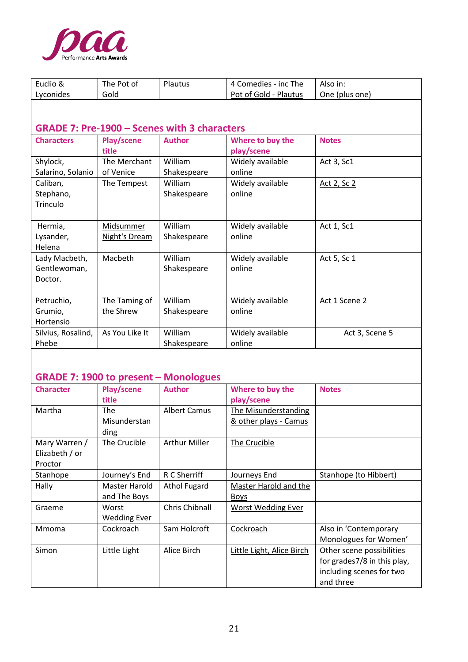

| Euclio &<br>Lyconides | The Pot of<br>Gold | Plautus                                             | 4 Comedies - inc The<br>Pot of Gold - Plautus | Also in:<br>One (plus one) |
|-----------------------|--------------------|-----------------------------------------------------|-----------------------------------------------|----------------------------|
|                       |                    |                                                     |                                               |                            |
|                       |                    | <b>GRADE 7: Pre-1900 - Scenes with 3 characters</b> |                                               |                            |
| <b>Characters</b>     | Play/scene         | <b>Author</b>                                       | Where to buy the                              | <b>Notes</b>               |
|                       | title              |                                                     | play/scene                                    |                            |
| Shylock,              | The Merchant       | William                                             | Widely available                              | Act 3, Sc1                 |
| Salarino, Solanio     | of Venice          | Shakespeare                                         | online                                        |                            |
| Caliban,              | The Tempest        | William                                             | Widely available                              | <u>Act 2, Sc 2</u>         |
| Stephano,             |                    | Shakespeare                                         | online                                        |                            |
| Trinculo              |                    |                                                     |                                               |                            |
|                       |                    |                                                     |                                               |                            |
| Hermia,               | <b>Midsummer</b>   | William                                             | Widely available                              | Act 1, Sc1                 |
| Lysander,             | Night's Dream      | Shakespeare                                         | online                                        |                            |
| Helena                |                    |                                                     |                                               |                            |
| Lady Macbeth,         | Macbeth            | William                                             | Widely available                              | Act 5, Sc 1                |
| Gentlewoman,          |                    | Shakespeare                                         | online                                        |                            |
| Doctor.               |                    |                                                     |                                               |                            |
|                       |                    |                                                     |                                               |                            |
| Petruchio,            | The Taming of      | William                                             | Widely available                              | Act 1 Scene 2              |
| Grumio,               | the Shrew          | Shakespeare                                         | online                                        |                            |
| Hortensio             |                    |                                                     |                                               |                            |
| Silvius, Rosalind,    | As You Like It     | William                                             | Widely available                              | Act 3, Scene 5             |
| Phebe                 |                    | Shakespeare                                         | online                                        |                            |

## **GRADE 7: 1900 to present – Monologues**

| <b>Character</b> | Play/scene          | <b>Author</b>         | Where to buy the             | <b>Notes</b>                |
|------------------|---------------------|-----------------------|------------------------------|-----------------------------|
|                  | title               |                       | play/scene                   |                             |
| Martha           | <b>The</b>          | <b>Albert Camus</b>   | The Misunderstanding         |                             |
|                  | Misunderstan        |                       | & other plays - Camus        |                             |
|                  | ding                |                       |                              |                             |
| Mary Warren /    | The Crucible        | <b>Arthur Miller</b>  | The Crucible                 |                             |
| Elizabeth / or   |                     |                       |                              |                             |
| Proctor          |                     |                       |                              |                             |
| Stanhope         | Journey's End       | R C Sherriff          | Journeys End                 | Stanhope (to Hibbert)       |
| Hally            | Master Harold       | <b>Athol Fugard</b>   | <b>Master Harold and the</b> |                             |
|                  | and The Boys        |                       | <b>Boys</b>                  |                             |
| Graeme           | Worst               | <b>Chris Chibnall</b> | Worst Wedding Ever           |                             |
|                  | <b>Wedding Ever</b> |                       |                              |                             |
| Mmoma            | Cockroach           | Sam Holcroft          | Cockroach                    | Also in 'Contemporary       |
|                  |                     |                       |                              | Monologues for Women'       |
| Simon            | Little Light        | Alice Birch           | Little Light, Alice Birch    | Other scene possibilities   |
|                  |                     |                       |                              | for grades7/8 in this play, |
|                  |                     |                       |                              | including scenes for two    |
|                  |                     |                       |                              | and three                   |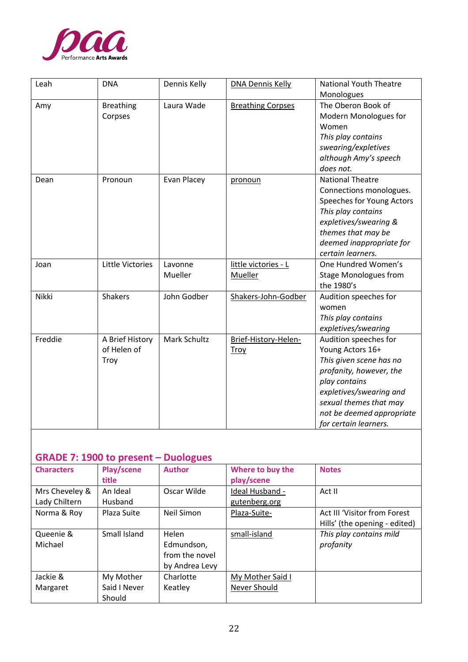

| Leah         | <b>DNA</b>                             | Dennis Kelly       | <b>DNA Dennis Kelly</b>             | <b>National Youth Theatre</b><br>Monologues                                                                                                                                                                                 |
|--------------|----------------------------------------|--------------------|-------------------------------------|-----------------------------------------------------------------------------------------------------------------------------------------------------------------------------------------------------------------------------|
| Amy          | <b>Breathing</b><br>Corpses            | Laura Wade         | <b>Breathing Corpses</b>            | The Oberon Book of<br>Modern Monologues for<br>Women<br>This play contains<br>swearing/expletives<br>although Amy's speech<br>does not.                                                                                     |
| Dean         | Pronoun                                | Evan Placey        | pronoun                             | <b>National Theatre</b><br>Connections monologues.<br>Speeches for Young Actors<br>This play contains<br>expletives/swearing &<br>themes that may be<br>deemed inappropriate for<br>certain learners.                       |
| Joan         | Little Victories                       | Lavonne<br>Mueller | little victories - L<br>Mueller     | One Hundred Women's<br><b>Stage Monologues from</b><br>the 1980's                                                                                                                                                           |
| <b>Nikki</b> | Shakers                                | John Godber        | Shakers-John-Godber                 | Audition speeches for<br>women<br>This play contains<br>expletives/swearing                                                                                                                                                 |
| Freddie      | A Brief History<br>of Helen of<br>Troy | Mark Schultz       | Brief-History-Helen-<br><b>Troy</b> | Audition speeches for<br>Young Actors 16+<br>This given scene has no<br>profanity, however, the<br>play contains<br>expletives/swearing and<br>sexual themes that may<br>not be deemed appropriate<br>for certain learners. |

### **GRADE 7: 1900 to present – Duologues**

| <b>Characters</b> | Play/scene   | <b>Author</b>  | Where to buy the | <b>Notes</b>                  |
|-------------------|--------------|----------------|------------------|-------------------------------|
|                   | title        |                | play/scene       |                               |
| Mrs Cheveley &    | An Ideal     | Oscar Wilde    | Ideal Husband -  | Act II                        |
| Lady Chiltern     | Husband      |                | gutenberg.org    |                               |
| Norma & Roy       | Plaza Suite  | Neil Simon     | Plaza-Suite-     | Act III 'Visitor from Forest  |
|                   |              |                |                  | Hills' (the opening - edited) |
| Queenie &         | Small Island | Helen          | small-island     | This play contains mild       |
| Michael           |              | Edmundson,     |                  | profanity                     |
|                   |              | from the novel |                  |                               |
|                   |              | by Andrea Levy |                  |                               |
| Jackie &          | My Mother    | Charlotte      | My Mother Said I |                               |
| Margaret          | Said I Never | Keatley        | Never Should     |                               |
|                   | Should       |                |                  |                               |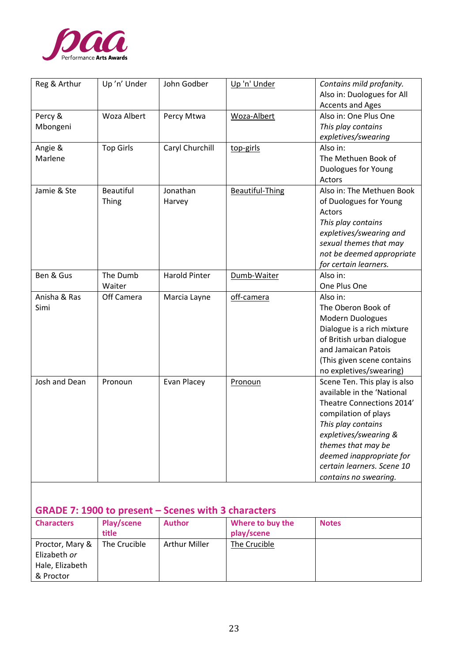

| Reg & Arthur         | Up'n' Under               | John Godber          | Up 'n' Under           | Contains mild profanity.<br>Also in: Duologues for All<br><b>Accents and Ages</b>                                                                                                                                                                                       |
|----------------------|---------------------------|----------------------|------------------------|-------------------------------------------------------------------------------------------------------------------------------------------------------------------------------------------------------------------------------------------------------------------------|
| Percy &<br>Mbongeni  | Woza Albert               | Percy Mtwa           | Woza-Albert            | Also in: One Plus One<br>This play contains<br>expletives/swearing                                                                                                                                                                                                      |
| Angie &<br>Marlene   | <b>Top Girls</b>          | Caryl Churchill      | top-girls              | Also in:<br>The Methuen Book of<br>Duologues for Young<br>Actors                                                                                                                                                                                                        |
| Jamie & Ste          | <b>Beautiful</b><br>Thing | Jonathan<br>Harvey   | <b>Beautiful-Thing</b> | Also in: The Methuen Book<br>of Duologues for Young<br>Actors<br>This play contains<br>expletives/swearing and<br>sexual themes that may<br>not be deemed appropriate<br>for certain learners.                                                                          |
| Ben & Gus            | The Dumb<br>Waiter        | <b>Harold Pinter</b> | Dumb-Waiter            | Also in:<br>One Plus One                                                                                                                                                                                                                                                |
| Anisha & Ras<br>Simi | Off Camera                | Marcia Layne         | off-camera             | Also in:<br>The Oberon Book of<br>Modern Duologues<br>Dialogue is a rich mixture<br>of British urban dialogue<br>and Jamaican Patois<br>(This given scene contains<br>no expletives/swearing)                                                                           |
| Josh and Dean        | Pronoun                   | Evan Placey          | Pronoun                | Scene Ten. This play is also<br>available in the 'National<br>Theatre Connections 2014'<br>compilation of plays<br>This play contains<br>expletives/swearing &<br>themes that may be<br>deemed inappropriate for<br>certain learners. Scene 10<br>contains no swearing. |

# **GRADE 7: 1900 to present – Scenes with 3 characters**

| <b>Characters</b>                                               | Play/scene<br>title | <b>Author</b>        | Where to buy the<br>play/scene | <b>Notes</b> |
|-----------------------------------------------------------------|---------------------|----------------------|--------------------------------|--------------|
| Proctor, Mary &<br>Elizabeth or<br>Hale, Elizabeth<br>& Proctor | The Crucible        | <b>Arthur Miller</b> | The Crucible                   |              |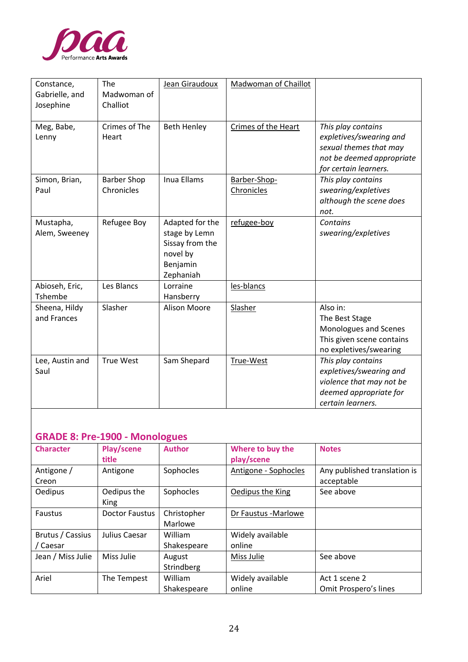

| Constance,<br>Gabrielle, and<br>Josephine | The<br>Madwoman of<br>Challiot   | Jean Giraudoux                                                                           | <b>Madwoman of Chaillot</b> |                                                                                                                               |
|-------------------------------------------|----------------------------------|------------------------------------------------------------------------------------------|-----------------------------|-------------------------------------------------------------------------------------------------------------------------------|
| Meg, Babe,<br>Lenny                       | Crimes of The<br>Heart           | <b>Beth Henley</b>                                                                       | Crimes of the Heart         | This play contains<br>expletives/swearing and<br>sexual themes that may<br>not be deemed appropriate<br>for certain learners. |
| Simon, Brian,<br>Paul                     | <b>Barber Shop</b><br>Chronicles | <b>Inua Ellams</b>                                                                       | Barber-Shop-<br>Chronicles  | This play contains<br>swearing/expletives<br>although the scene does<br>not.                                                  |
| Mustapha,<br>Alem, Sweeney                | Refugee Boy                      | Adapted for the<br>stage by Lemn<br>Sissay from the<br>novel by<br>Benjamin<br>Zephaniah | refugee-boy                 | Contains<br>swearing/expletives                                                                                               |
| Abioseh, Eric,<br>Tshembe                 | Les Blancs                       | Lorraine<br>Hansberry                                                                    | les-blancs                  |                                                                                                                               |
| Sheena, Hildy<br>and Frances              | Slasher                          | <b>Alison Moore</b>                                                                      | Slasher                     | Also in:<br>The Best Stage<br>Monologues and Scenes<br>This given scene contains<br>no expletives/swearing                    |
| Lee, Austin and<br>Saul                   | <b>True West</b>                 | Sam Shepard                                                                              | True-West                   | This play contains<br>expletives/swearing and<br>violence that may not be<br>deemed appropriate for<br>certain learners.      |

## **GRADE 8: Pre-1900 - Monologues**

| <b>Character</b>             | Play/scene<br>title   | <b>Author</b>          | Where to buy the<br>play/scene | <b>Notes</b>                               |
|------------------------------|-----------------------|------------------------|--------------------------------|--------------------------------------------|
| Antigone /<br>Creon          | Antigone              | Sophocles              | Antigone - Sophocles           | Any published translation is<br>acceptable |
| <b>Oedipus</b>               | Oedipus the<br>King   | Sophocles              | Oedipus the King               | See above                                  |
| Faustus                      | <b>Doctor Faustus</b> | Christopher<br>Marlowe | Dr Faustus - Marlowe           |                                            |
| Brutus / Cassius<br>/ Caesar | Julius Caesar         | William<br>Shakespeare | Widely available<br>online     |                                            |
| Jean / Miss Julie            | Miss Julie            | August<br>Strindberg   | Miss Julie                     | See above                                  |
| Ariel                        | The Tempest           | William<br>Shakespeare | Widely available<br>online     | Act 1 scene 2<br>Omit Prospero's lines     |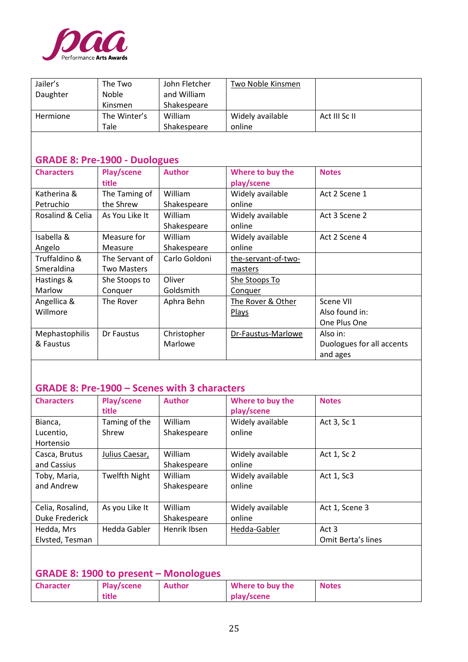

| Jailer's                             | The Two            | John Fletcher | Two Noble Kinsmen   |                           |
|--------------------------------------|--------------------|---------------|---------------------|---------------------------|
| Daughter                             | Noble              | and William   |                     |                           |
|                                      | Kinsmen            | Shakespeare   |                     |                           |
| Hermione                             | The Winter's       | William       | Widely available    | Act III Sc II             |
|                                      | Tale               | Shakespeare   | online              |                           |
|                                      |                    |               |                     |                           |
|                                      |                    |               |                     |                           |
| <b>GRADE 8: Pre-1900 - Duologues</b> |                    |               |                     |                           |
| <b>Characters</b>                    | Play/scene         | <b>Author</b> | Where to buy the    | <b>Notes</b>              |
|                                      | title              |               | play/scene          |                           |
| Katherina &                          | The Taming of      | William       | Widely available    | Act 2 Scene 1             |
| Petruchio                            | the Shrew          | Shakespeare   | online              |                           |
| Rosalind & Celia                     | As You Like It     | William       | Widely available    | Act 3 Scene 2             |
|                                      |                    | Shakespeare   | online              |                           |
| Isabella &                           | Measure for        | William       | Widely available    | Act 2 Scene 4             |
| Angelo                               | Measure            | Shakespeare   | online              |                           |
| Truffaldino &                        | The Servant of     | Carlo Goldoni | the-servant-of-two- |                           |
| Smeraldina                           | <b>Two Masters</b> |               | masters             |                           |
| Hastings &                           | She Stoops to      | Oliver        | She Stoops To       |                           |
| Marlow                               | Conquer            | Goldsmith     | Conquer             |                           |
| Angellica &                          | The Rover          | Aphra Behn    | The Rover & Other   | Scene VII                 |
| Willmore                             |                    |               | <b>Plays</b>        | Also found in:            |
|                                      |                    |               |                     | One Plus One              |
| Mephastophilis                       | Dr Faustus         | Christopher   | Dr-Faustus-Marlowe  | Also in:                  |
| & Faustus                            |                    | Marlowe       |                     | Duologues for all accents |
|                                      |                    |               |                     | and ages                  |

## **GRADE 8: Pre-1900 – Scenes with 3 characters**

| <b>Characters</b> | Play/scene<br>title  | <b>Author</b>  | Where to buy the<br>play/scene | <b>Notes</b>       |
|-------------------|----------------------|----------------|--------------------------------|--------------------|
|                   |                      |                |                                |                    |
| Bianca,           | Taming of the        | William        | Widely available               | Act 3, Sc 1        |
| Lucentio,         | Shrew                | Shakespeare    | online                         |                    |
| Hortensio         |                      |                |                                |                    |
| Casca, Brutus     | Julius Caesar,       | William        | Widely available               | Act 1, Sc 2        |
| and Cassius       |                      | Shakespeare    | online                         |                    |
| Toby, Maria,      | <b>Twelfth Night</b> | <b>William</b> | Widely available               | Act 1, Sc3         |
| and Andrew        |                      | Shakespeare    | online                         |                    |
|                   |                      |                |                                |                    |
| Celia, Rosalind,  | As you Like It       | William        | Widely available               | Act 1, Scene 3     |
| Duke Frederick    |                      | Shakespeare    | online                         |                    |
| Hedda, Mrs        | Hedda Gabler         | Henrik Ibsen   | Hedda-Gabler                   | Act 3              |
| Elvsted, Tesman   |                      |                |                                | Omit Berta's lines |

### **GRADE 8: 1900 to present – Monologues**

| <b>Character</b> | Play/scene | <b>Author</b> | Where to buy the | <b>Notes</b> |
|------------------|------------|---------------|------------------|--------------|
|                  | title      |               | play/scene       |              |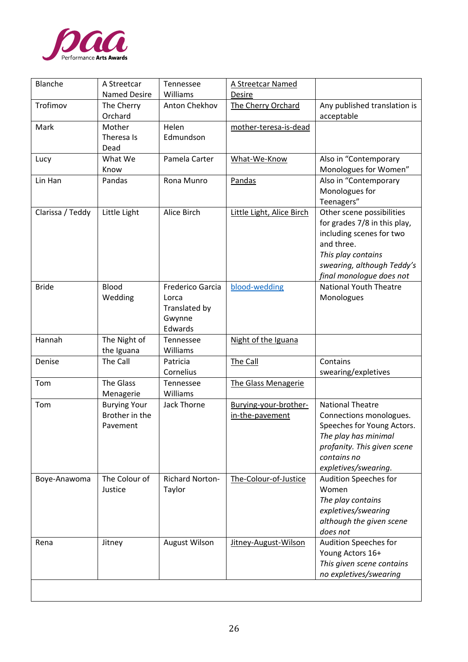

| Blanche          | A Streetcar                                       | Tennessee                                                       | <b>A Streetcar Named</b>                 |                                                                                                                                                                                     |
|------------------|---------------------------------------------------|-----------------------------------------------------------------|------------------------------------------|-------------------------------------------------------------------------------------------------------------------------------------------------------------------------------------|
|                  | <b>Named Desire</b>                               | Williams                                                        | <b>Desire</b>                            |                                                                                                                                                                                     |
| Trofimov         | The Cherry<br>Orchard                             | Anton Chekhov                                                   | The Cherry Orchard                       | Any published translation is<br>acceptable                                                                                                                                          |
| Mark             | Mother<br>Theresa Is<br>Dead                      | Helen<br>Edmundson                                              | mother-teresa-is-dead                    |                                                                                                                                                                                     |
| Lucy             | What We<br>Know                                   | Pamela Carter                                                   | What-We-Know                             | Also in "Contemporary<br>Monologues for Women"                                                                                                                                      |
| Lin Han          | Pandas                                            | Rona Munro                                                      | Pandas                                   | Also in "Contemporary<br>Monologues for<br>Teenagers"                                                                                                                               |
| Clarissa / Teddy | Little Light                                      | Alice Birch                                                     | Little Light, Alice Birch                | Other scene possibilities<br>for grades 7/8 in this play,<br>including scenes for two<br>and three.<br>This play contains<br>swearing, although Teddy's<br>final monologue does not |
| <b>Bride</b>     | Blood<br>Wedding                                  | Frederico Garcia<br>Lorca<br>Translated by<br>Gwynne<br>Edwards | blood-wedding                            | <b>National Youth Theatre</b><br>Monologues                                                                                                                                         |
| Hannah           | The Night of<br>the Iguana                        | Tennessee<br>Williams                                           | Night of the Iguana                      |                                                                                                                                                                                     |
| Denise           | The Call                                          | Patricia<br>Cornelius                                           | The Call                                 | Contains<br>swearing/expletives                                                                                                                                                     |
| Tom              | <b>The Glass</b><br>Menagerie                     | Tennessee<br>Williams                                           | The Glass Menagerie                      |                                                                                                                                                                                     |
| Tom              | <b>Burying Your</b><br>Brother in the<br>Pavement | <b>Jack Thorne</b>                                              | Burying-your-brother-<br>in-the-pavement | <b>National Theatre</b><br>Connections monologues.<br>Speeches for Young Actors.<br>The play has minimal<br>profanity. This given scene<br>contains no<br>expletives/swearing.      |
| Boye-Anawoma     | The Colour of<br>Justice                          | <b>Richard Norton-</b><br>Taylor                                | The-Colour-of-Justice                    | Audition Speeches for<br>Women<br>The play contains<br>expletives/swearing<br>although the given scene<br>does not                                                                  |
| Rena             | Jitney                                            | <b>August Wilson</b>                                            | Jitney-August-Wilson                     | Audition Speeches for<br>Young Actors 16+<br>This given scene contains<br>no expletives/swearing                                                                                    |
|                  |                                                   |                                                                 |                                          |                                                                                                                                                                                     |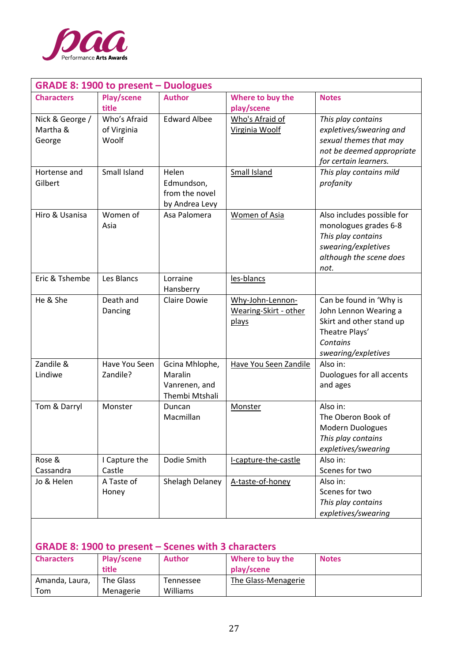

| <b>GRADE 8: 1900 to present – Duologues</b> |                                      |                                                              |                                                    |                                                                                                                                     |  |  |
|---------------------------------------------|--------------------------------------|--------------------------------------------------------------|----------------------------------------------------|-------------------------------------------------------------------------------------------------------------------------------------|--|--|
| <b>Characters</b>                           | Play/scene<br>title                  | <b>Author</b>                                                | Where to buy the<br>play/scene                     | <b>Notes</b>                                                                                                                        |  |  |
| Nick & George /<br>Martha &<br>George       | Who's Afraid<br>of Virginia<br>Woolf | <b>Edward Albee</b>                                          | Who's Afraid of<br>Virginia Woolf                  | This play contains<br>expletives/swearing and<br>sexual themes that may<br>not be deemed appropriate<br>for certain learners.       |  |  |
| Hortense and<br>Gilbert                     | Small Island                         | Helen<br>Edmundson,<br>from the novel<br>by Andrea Levy      | <b>Small Island</b>                                | This play contains mild<br>profanity                                                                                                |  |  |
| Hiro & Usanisa                              | Women of<br>Asia                     | Asa Palomera                                                 | <b>Women of Asia</b>                               | Also includes possible for<br>monologues grades 6-8<br>This play contains<br>swearing/expletives<br>although the scene does<br>not. |  |  |
| Eric & Tshembe                              | Les Blancs                           | Lorraine<br>Hansberry                                        | les-blancs                                         |                                                                                                                                     |  |  |
| He & She                                    | Death and<br>Dancing                 | <b>Claire Dowie</b>                                          | Why-John-Lennon-<br>Wearing-Skirt - other<br>plays | Can be found in 'Why is<br>John Lennon Wearing a<br>Skirt and other stand up<br>Theatre Plays'<br>Contains<br>swearing/expletives   |  |  |
| Zandile &<br>Lindiwe                        | Have You Seen<br>Zandile?            | Gcina Mhlophe,<br>Maralin<br>Vanrenen, and<br>Thembi Mtshali | Have You Seen Zandile                              | Also in:<br>Duologues for all accents<br>and ages                                                                                   |  |  |
| Tom & Darryl                                | Monster                              | Duncan<br>Macmillan                                          | Monster                                            | Also in:<br>The Oberon Book of<br>Modern Duologues<br>This play contains<br>expletives/swearing                                     |  |  |
| Rose &<br>Cassandra                         | I Capture the<br>Castle              | Dodie Smith                                                  | I-capture-the-castle                               | Also in:<br>Scenes for two                                                                                                          |  |  |
| Jo & Helen                                  | A Taste of<br>Honey                  | Shelagh Delaney                                              | A-taste-of-honey                                   | Also in:<br>Scenes for two<br>This play contains<br>expletives/swearing                                                             |  |  |

# **GRADE 8: 1900 to present – Scenes with 3 characters**

| <b>Characters</b> | Play/scene<br>title | <b>Author</b> | Where to buy the<br>play/scene | <b>Notes</b> |
|-------------------|---------------------|---------------|--------------------------------|--------------|
|                   |                     |               |                                |              |
| Amanda, Laura,    | The Glass           | Tennessee     | The Glass-Menagerie            |              |
| Tom               | Menagerie           | Williams      |                                |              |